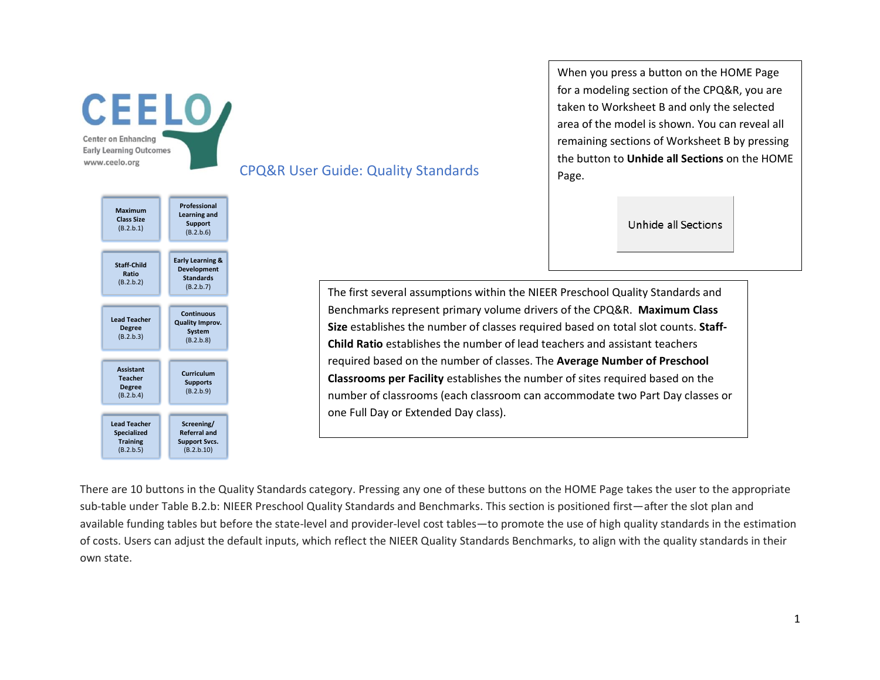



CPQ&R User Guide: Quality Standards

When you press a button on the HOME Page for a modeling section of the CPQ&R, you are taken to Worksheet B and only the selected area of the model is shown. You can reveal all remaining sections of Worksheet B by pressing the button to **Unhide all Sections** on the HOME Page.

Unhide all Sections

The first several assumptions within the NIEER Preschool Quality Standards and Benchmarks represent primary volume drivers of the CPQ&R. **Maximum Class Size** establishes the number of classes required based on total slot counts. **Staff-Child Ratio** establishes the number of lead teachers and assistant teachers required based on the number of classes. The **Average Number of Preschool Classrooms per Facility** establishes the number of sites required based on the number of classrooms (each classroom can accommodate two Part Day classes or one Full Day or Extended Day class).

There are 10 buttons in the Quality Standards category. Pressing any one of these buttons on the HOME Page takes the user to the appropriate sub-table under Table B.2.b: NIEER Preschool Quality Standards and Benchmarks. This section is positioned first—after the slot plan and available funding tables but before the state-level and provider-level cost tables—to promote the use of high quality standards in the estimation of costs. Users can adjust the default inputs, which reflect the NIEER Quality Standards Benchmarks, to align with the quality standards in their own state.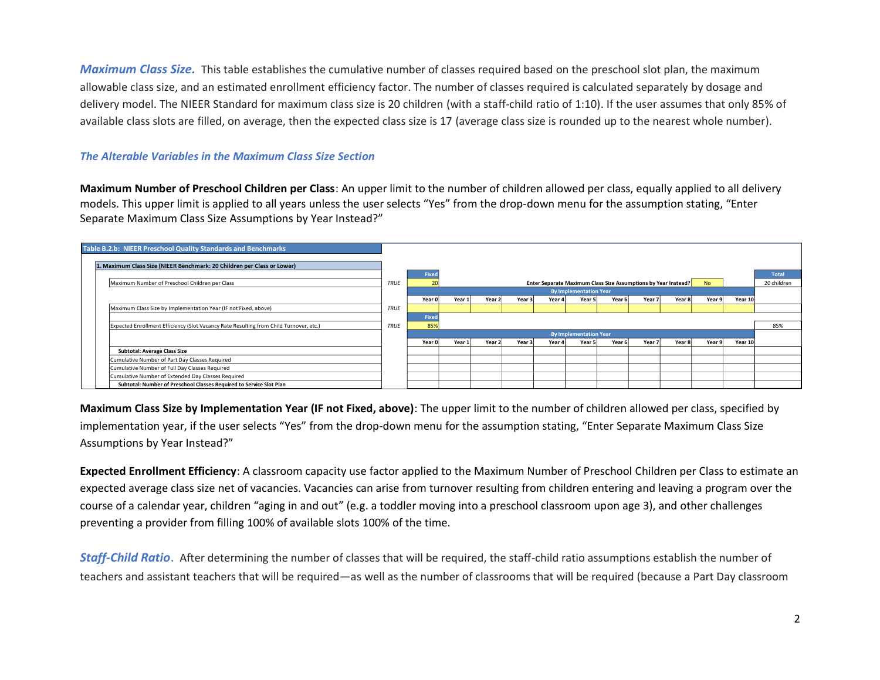*Maximum Class Size.* This table establishes the cumulative number of classes required based on the preschool slot plan, the maximum allowable class size, and an estimated enrollment efficiency factor. The number of classes required is calculated separately by dosage and delivery model. The NIEER Standard for maximum class size is 20 children (with a staff-child ratio of 1:10). If the user assumes that only 85% of available class slots are filled, on average, then the expected class size is 17 (average class size is rounded up to the nearest whole number).

#### *The Alterable Variables in the Maximum Class Size Section*

**Maximum Number of Preschool Children per Class**: An upper limit to the number of children allowed per class, equally applied to all delivery models. This upper limit is applied to all years unless the user selects "Yes" from the drop-down menu for the assumption stating, "Enter Separate Maximum Class Size Assumptions by Year Instead?"

| Table B.2.b: NIEER Preschool Quality Standards and Benchmarks                          |             |                |        |        |        |        |                                                                |        |        |        |           |         |              |
|----------------------------------------------------------------------------------------|-------------|----------------|--------|--------|--------|--------|----------------------------------------------------------------|--------|--------|--------|-----------|---------|--------------|
| 1. Maximum Class Size (NIEER Benchmark: 20 Children per Class or Lower)                |             |                |        |        |        |        |                                                                |        |        |        |           |         |              |
|                                                                                        |             | Fixed          |        |        |        |        |                                                                |        |        |        |           |         | <b>Total</b> |
| Maximum Number of Preschool Children per Class                                         | <b>TRUE</b> | $\overline{2}$ |        |        |        |        | Enter Separate Maximum Class Size Assumptions by Year Instead? |        |        |        | <b>No</b> |         | 20 children  |
|                                                                                        |             |                |        |        |        |        | <b>By Implementation Year</b>                                  |        |        |        |           |         |              |
|                                                                                        |             | Year 0         | Year 1 | Year 2 | Year 3 | Year 4 | Year 5                                                         | Year 6 | Year 7 | Year 8 | Year 9    | Year 10 |              |
| Maximum Class Size by Implementation Year (IF not Fixed, above)                        | <b>TRUE</b> |                |        |        |        |        |                                                                |        |        |        |           |         |              |
|                                                                                        |             | Fixed          |        |        |        |        |                                                                |        |        |        |           |         |              |
| Expected Enrollment Efficiency (Slot Vacancy Rate Resulting from Child Turnover, etc.) | <b>TRUE</b> | 85%            |        |        |        |        |                                                                |        |        |        |           |         | 85%          |
|                                                                                        |             |                |        |        |        |        | <b>By Implementation Year</b>                                  |        |        |        |           |         |              |
|                                                                                        |             | Year 0         | Year 1 | Year 2 | Year 3 | Year 4 | Year 5                                                         | Year 6 | Year 7 | Year 8 | Year 9    | Year 10 |              |
| Subtotal: Average Class Size                                                           |             |                |        |        |        |        |                                                                |        |        |        |           |         |              |
| Cumulative Number of Part Day Classes Required                                         |             |                |        |        |        |        |                                                                |        |        |        |           |         |              |
| Cumulative Number of Full Day Classes Required                                         |             |                |        |        |        |        |                                                                |        |        |        |           |         |              |
| Cumulative Number of Extended Day Classes Required                                     |             |                |        |        |        |        |                                                                |        |        |        |           |         |              |
| Subtotal: Number of Preschool Classes Required to Service Slot Plan                    |             |                |        |        |        |        |                                                                |        |        |        |           |         |              |

**Maximum Class Size by Implementation Year (IF not Fixed, above)**: The upper limit to the number of children allowed per class, specified by implementation year, if the user selects "Yes" from the drop-down menu for the assumption stating, "Enter Separate Maximum Class Size Assumptions by Year Instead?"

**Expected Enrollment Efficiency**: A classroom capacity use factor applied to the Maximum Number of Preschool Children per Class to estimate an expected average class size net of vacancies. Vacancies can arise from turnover resulting from children entering and leaving a program over the course of a calendar year, children "aging in and out" (e.g. a toddler moving into a preschool classroom upon age 3), and other challenges preventing a provider from filling 100% of available slots 100% of the time.

*Staff-Child Ratio*. After determining the number of classes that will be required, the staff-child ratio assumptions establish the number of teachers and assistant teachers that will be required—as well as the number of classrooms that will be required (because a Part Day classroom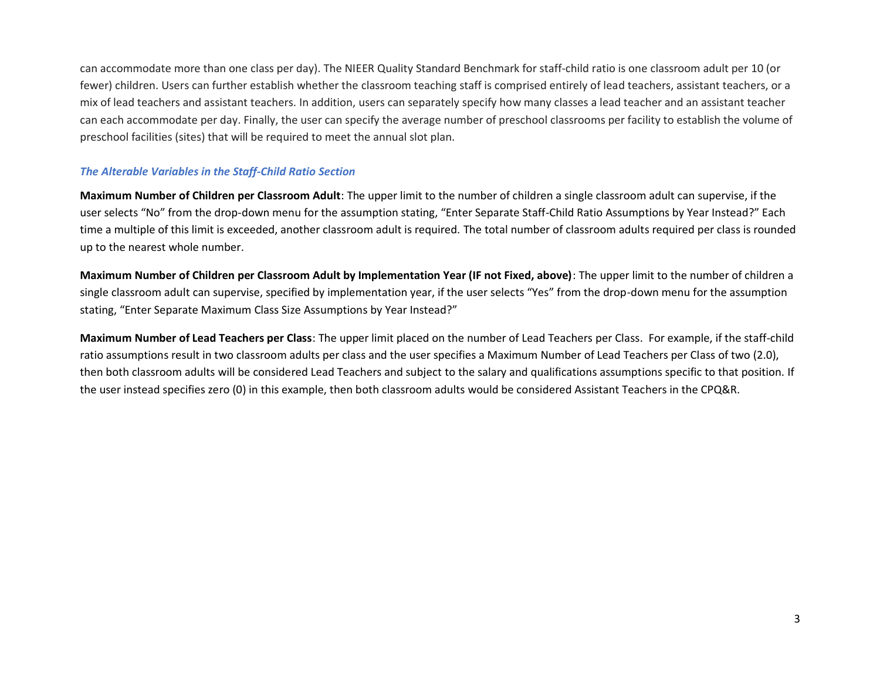can accommodate more than one class per day). The NIEER Quality Standard Benchmark for staff-child ratio is one classroom adult per 10 (or fewer) children. Users can further establish whether the classroom teaching staff is comprised entirely of lead teachers, assistant teachers, or a mix of lead teachers and assistant teachers. In addition, users can separately specify how many classes a lead teacher and an assistant teacher can each accommodate per day. Finally, the user can specify the average number of preschool classrooms per facility to establish the volume of preschool facilities (sites) that will be required to meet the annual slot plan.

## *The Alterable Variables in the Staff-Child Ratio Section*

**Maximum Number of Children per Classroom Adult**: The upper limit to the number of children a single classroom adult can supervise, if the user selects "No" from the drop-down menu for the assumption stating, "Enter Separate Staff-Child Ratio Assumptions by Year Instead?" Each time a multiple of this limit is exceeded, another classroom adult is required. The total number of classroom adults required per class is rounded up to the nearest whole number.

**Maximum Number of Children per Classroom Adult by Implementation Year (IF not Fixed, above)**: The upper limit to the number of children a single classroom adult can supervise, specified by implementation year, if the user selects "Yes" from the drop-down menu for the assumption stating, "Enter Separate Maximum Class Size Assumptions by Year Instead?"

**Maximum Number of Lead Teachers per Class**: The upper limit placed on the number of Lead Teachers per Class. For example, if the staff-child ratio assumptions result in two classroom adults per class and the user specifies a Maximum Number of Lead Teachers per Class of two (2.0), then both classroom adults will be considered Lead Teachers and subject to the salary and qualifications assumptions specific to that position. If the user instead specifies zero (0) in this example, then both classroom adults would be considered Assistant Teachers in the CPQ&R.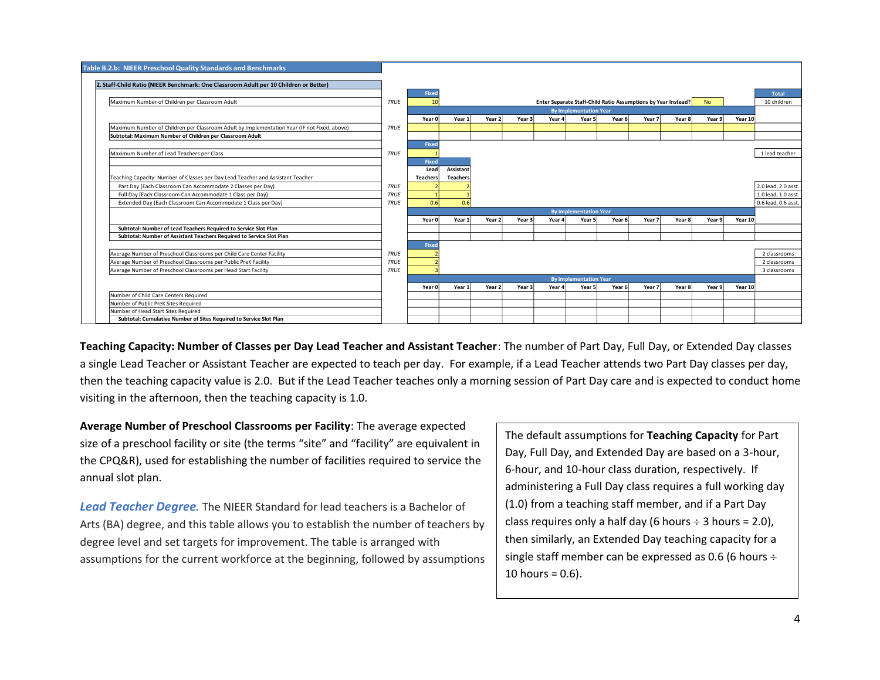

**Teaching Capacity: Number of Classes per Day Lead Teacher and Assistant Teacher**: The number of Part Day, Full Day, or Extended Day classes a single Lead Teacher or Assistant Teacher are expected to teach per day. For example, if a Lead Teacher attends two Part Day classes per day, then the teaching capacity value is 2.0. But if the Lead Teacher teaches only a morning session of Part Day care and is expected to conduct home visiting in the afternoon, then the teaching capacity is 1.0.

**Average Number of Preschool Classrooms per Facility**: The average expected size of a preschool facility or site (the terms "site" and "facility" are equivalent in the CPQ&R), used for establishing the number of facilities required to service the annual slot plan.

*Lead Teacher Degree.* The NIEER Standard for lead teachers is a Bachelor of Arts (BA) degree, and this table allows you to establish the number of teachers by degree level and set targets for improvement. The table is arranged with assumptions for the current workforce at the beginning, followed by assumptions The default assumptions for **Teaching Capacity** for Part Day, Full Day, and Extended Day are based on a 3-hour, 6-hour, and 10-hour class duration, respectively. If administering a Full Day class requires a full working day (1.0) from a teaching staff member, and if a Part Day class requires only a half day (6 hours  $\div$  3 hours = 2.0), then similarly, an Extended Day teaching capacity for a single staff member can be expressed as 0.6 (6 hours  $\div$ 10 hours =  $0.6$ ).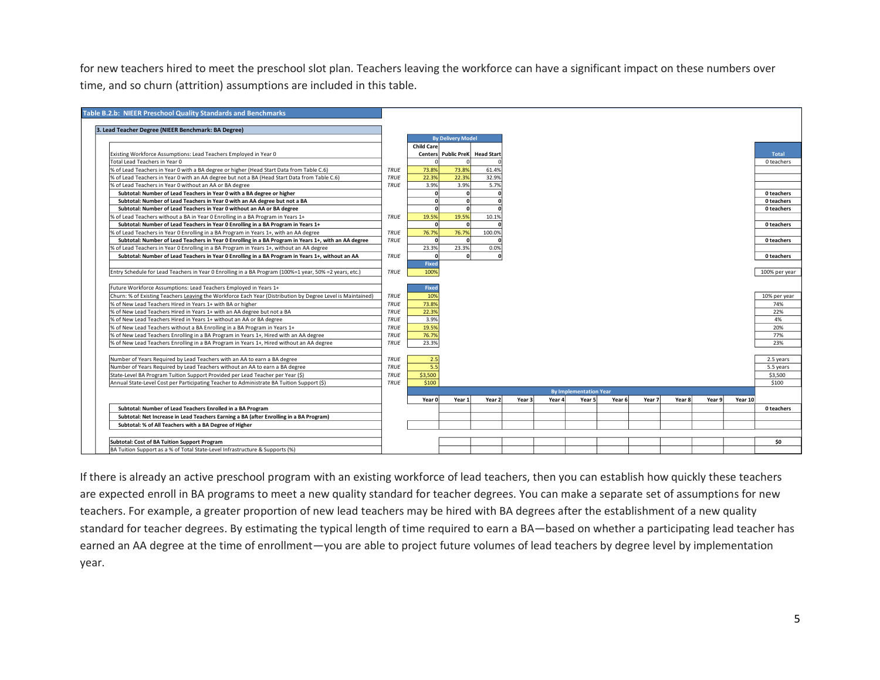for new teachers hired to meet the preschool slot plan. Teachers leaving the workforce can have a significant impact on these numbers over time, and so churn (attrition) assumptions are included in this table.

|        |  |        |         | <b>Total</b>  |
|--------|--|--------|---------|---------------|
|        |  |        |         | 0 teachers    |
|        |  |        |         |               |
|        |  |        |         |               |
|        |  |        |         |               |
|        |  |        |         | 0 teachers    |
|        |  |        |         | 0 teachers    |
|        |  |        |         | 0 teachers    |
|        |  |        |         |               |
|        |  |        |         | 0 teachers    |
|        |  |        |         |               |
|        |  |        |         | 0 teachers    |
|        |  |        |         |               |
|        |  |        |         | 0 teachers    |
|        |  |        |         |               |
|        |  |        |         | 100% per year |
|        |  |        |         |               |
|        |  |        |         |               |
|        |  |        |         | 10% per year  |
|        |  |        |         | 74%           |
|        |  |        |         | 22%           |
|        |  |        |         | 4%            |
|        |  |        |         | 20%           |
|        |  |        |         | 77%           |
|        |  |        |         | 23%           |
|        |  |        |         |               |
|        |  |        |         | 2.5 years     |
|        |  |        |         | 5.5 years     |
|        |  |        |         | \$3,500       |
|        |  |        |         | \$100         |
|        |  |        |         |               |
| Year 7 |  |        | Year 10 |               |
|        |  |        |         | 0 teachers    |
|        |  |        |         |               |
|        |  |        |         |               |
|        |  |        |         |               |
|        |  |        |         | \$0           |
|        |  |        |         |               |
|        |  | Year 8 |         | Year 9        |

If there is already an active preschool program with an existing workforce of lead teachers, then you can establish how quickly these teachers are expected enroll in BA programs to meet a new quality standard for teacher degrees. You can make a separate set of assumptions for new teachers. For example, a greater proportion of new lead teachers may be hired with BA degrees after the establishment of a new quality standard for teacher degrees. By estimating the typical length of time required to earn a BA—based on whether a participating lead teacher has earned an AA degree at the time of enrollment—you are able to project future volumes of lead teachers by degree level by implementation year.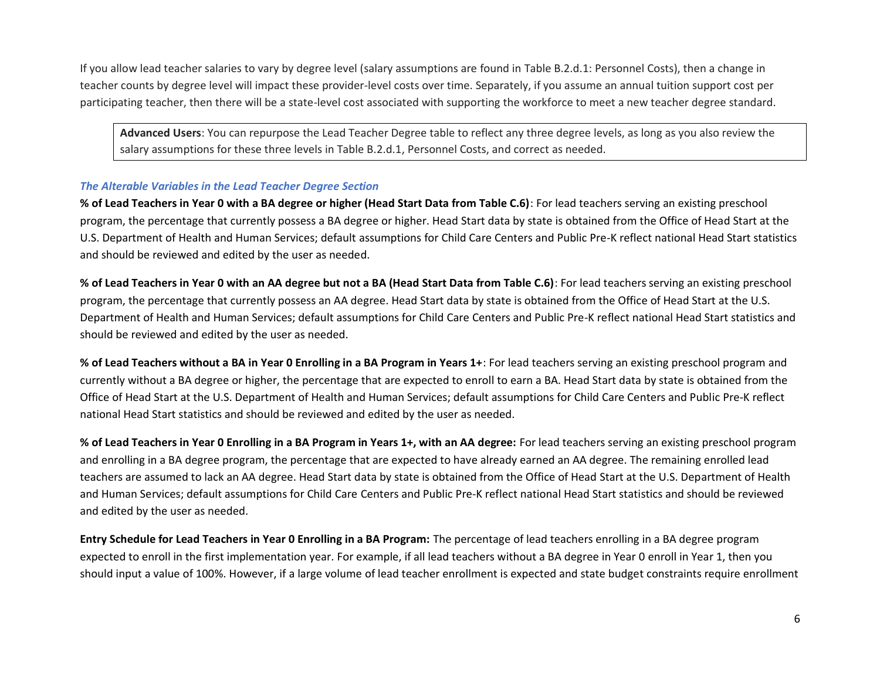If you allow lead teacher salaries to vary by degree level (salary assumptions are found in Table B.2.d.1: Personnel Costs), then a change in teacher counts by degree level will impact these provider-level costs over time. Separately, if you assume an annual tuition support cost per participating teacher, then there will be a state-level cost associated with supporting the workforce to meet a new teacher degree standard.

**Advanced Users**: You can repurpose the Lead Teacher Degree table to reflect any three degree levels, as long as you also review the salary assumptions for these three levels in Table B.2.d.1, Personnel Costs, and correct as needed.

## *The Alterable Variables in the Lead Teacher Degree Section*

**% of Lead Teachers in Year 0 with a BA degree or higher (Head Start Data from Table C.6)**: For lead teachers serving an existing preschool program, the percentage that currently possess a BA degree or higher. Head Start data by state is obtained from the Office of Head Start at the U.S. Department of Health and Human Services; default assumptions for Child Care Centers and Public Pre-K reflect national Head Start statistics and should be reviewed and edited by the user as needed.

**% of Lead Teachers in Year 0 with an AA degree but not a BA (Head Start Data from Table C.6)**: For lead teachers serving an existing preschool program, the percentage that currently possess an AA degree. Head Start data by state is obtained from the Office of Head Start at the U.S. Department of Health and Human Services; default assumptions for Child Care Centers and Public Pre-K reflect national Head Start statistics and should be reviewed and edited by the user as needed.

**% of Lead Teachers without a BA in Year 0 Enrolling in a BA Program in Years 1+**: For lead teachers serving an existing preschool program and currently without a BA degree or higher, the percentage that are expected to enroll to earn a BA. Head Start data by state is obtained from the Office of Head Start at the U.S. Department of Health and Human Services; default assumptions for Child Care Centers and Public Pre-K reflect national Head Start statistics and should be reviewed and edited by the user as needed.

**% of Lead Teachers in Year 0 Enrolling in a BA Program in Years 1+, with an AA degree:** For lead teachers serving an existing preschool program and enrolling in a BA degree program, the percentage that are expected to have already earned an AA degree. The remaining enrolled lead teachers are assumed to lack an AA degree. Head Start data by state is obtained from the Office of Head Start at the U.S. Department of Health and Human Services; default assumptions for Child Care Centers and Public Pre-K reflect national Head Start statistics and should be reviewed and edited by the user as needed.

**Entry Schedule for Lead Teachers in Year 0 Enrolling in a BA Program:** The percentage of lead teachers enrolling in a BA degree program expected to enroll in the first implementation year. For example, if all lead teachers without a BA degree in Year 0 enroll in Year 1, then you should input a value of 100%. However, if a large volume of lead teacher enrollment is expected and state budget constraints require enrollment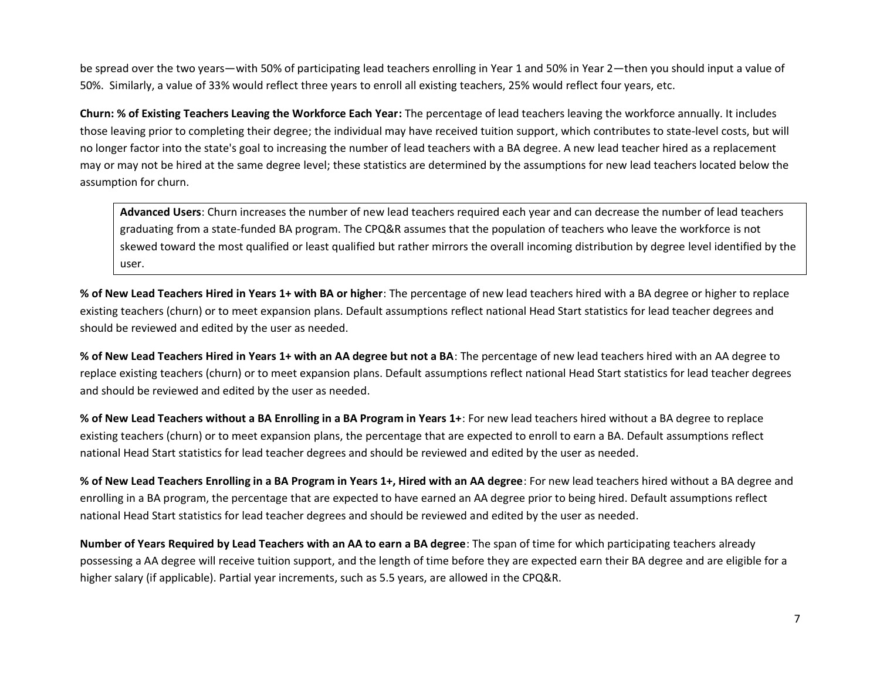be spread over the two years—with 50% of participating lead teachers enrolling in Year 1 and 50% in Year 2—then you should input a value of 50%. Similarly, a value of 33% would reflect three years to enroll all existing teachers, 25% would reflect four years, etc.

**Churn: % of Existing Teachers Leaving the Workforce Each Year:** The percentage of lead teachers leaving the workforce annually. It includes those leaving prior to completing their degree; the individual may have received tuition support, which contributes to state-level costs, but will no longer factor into the state's goal to increasing the number of lead teachers with a BA degree. A new lead teacher hired as a replacement may or may not be hired at the same degree level; these statistics are determined by the assumptions for new lead teachers located below the assumption for churn.

**Advanced Users**: Churn increases the number of new lead teachers required each year and can decrease the number of lead teachers graduating from a state-funded BA program. The CPQ&R assumes that the population of teachers who leave the workforce is not skewed toward the most qualified or least qualified but rather mirrors the overall incoming distribution by degree level identified by the user.

**% of New Lead Teachers Hired in Years 1+ with BA or higher**: The percentage of new lead teachers hired with a BA degree or higher to replace existing teachers (churn) or to meet expansion plans. Default assumptions reflect national Head Start statistics for lead teacher degrees and should be reviewed and edited by the user as needed.

**% of New Lead Teachers Hired in Years 1+ with an AA degree but not a BA**: The percentage of new lead teachers hired with an AA degree to replace existing teachers (churn) or to meet expansion plans. Default assumptions reflect national Head Start statistics for lead teacher degrees and should be reviewed and edited by the user as needed.

**% of New Lead Teachers without a BA Enrolling in a BA Program in Years 1+**: For new lead teachers hired without a BA degree to replace existing teachers (churn) or to meet expansion plans, the percentage that are expected to enroll to earn a BA. Default assumptions reflect national Head Start statistics for lead teacher degrees and should be reviewed and edited by the user as needed.

**% of New Lead Teachers Enrolling in a BA Program in Years 1+, Hired with an AA degree**: For new lead teachers hired without a BA degree and enrolling in a BA program, the percentage that are expected to have earned an AA degree prior to being hired. Default assumptions reflect national Head Start statistics for lead teacher degrees and should be reviewed and edited by the user as needed.

**Number of Years Required by Lead Teachers with an AA to earn a BA degree**: The span of time for which participating teachers already possessing a AA degree will receive tuition support, and the length of time before they are expected earn their BA degree and are eligible for a higher salary (if applicable). Partial year increments, such as 5.5 years, are allowed in the CPQ&R.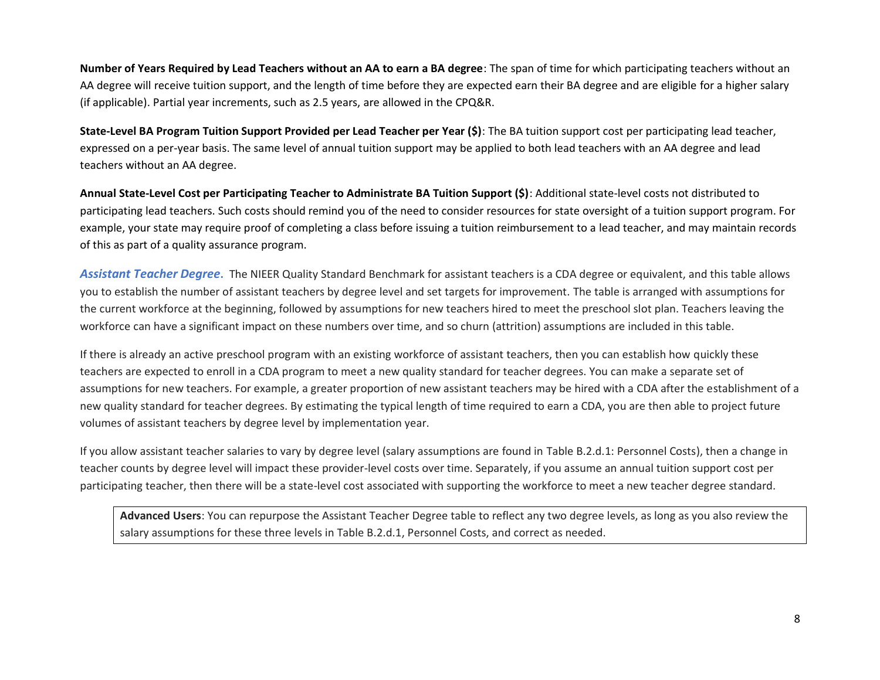**Number of Years Required by Lead Teachers without an AA to earn a BA degree**: The span of time for which participating teachers without an AA degree will receive tuition support, and the length of time before they are expected earn their BA degree and are eligible for a higher salary (if applicable). Partial year increments, such as 2.5 years, are allowed in the CPQ&R.

**State-Level BA Program Tuition Support Provided per Lead Teacher per Year (\$)**: The BA tuition support cost per participating lead teacher, expressed on a per-year basis. The same level of annual tuition support may be applied to both lead teachers with an AA degree and lead teachers without an AA degree.

**Annual State-Level Cost per Participating Teacher to Administrate BA Tuition Support (\$)**: Additional state-level costs not distributed to participating lead teachers. Such costs should remind you of the need to consider resources for state oversight of a tuition support program. For example, your state may require proof of completing a class before issuing a tuition reimbursement to a lead teacher, and may maintain records of this as part of a quality assurance program.

*Assistant Teacher Degree***.** The NIEER Quality Standard Benchmark for assistant teachers is a CDA degree or equivalent, and this table allows you to establish the number of assistant teachers by degree level and set targets for improvement. The table is arranged with assumptions for the current workforce at the beginning, followed by assumptions for new teachers hired to meet the preschool slot plan. Teachers leaving the workforce can have a significant impact on these numbers over time, and so churn (attrition) assumptions are included in this table.

If there is already an active preschool program with an existing workforce of assistant teachers, then you can establish how quickly these teachers are expected to enroll in a CDA program to meet a new quality standard for teacher degrees. You can make a separate set of assumptions for new teachers. For example, a greater proportion of new assistant teachers may be hired with a CDA after the establishment of a new quality standard for teacher degrees. By estimating the typical length of time required to earn a CDA, you are then able to project future volumes of assistant teachers by degree level by implementation year.

If you allow assistant teacher salaries to vary by degree level (salary assumptions are found in Table B.2.d.1: Personnel Costs), then a change in teacher counts by degree level will impact these provider-level costs over time. Separately, if you assume an annual tuition support cost per participating teacher, then there will be a state-level cost associated with supporting the workforce to meet a new teacher degree standard.

**Advanced Users**: You can repurpose the Assistant Teacher Degree table to reflect any two degree levels, as long as you also review the salary assumptions for these three levels in Table B.2.d.1, Personnel Costs, and correct as needed.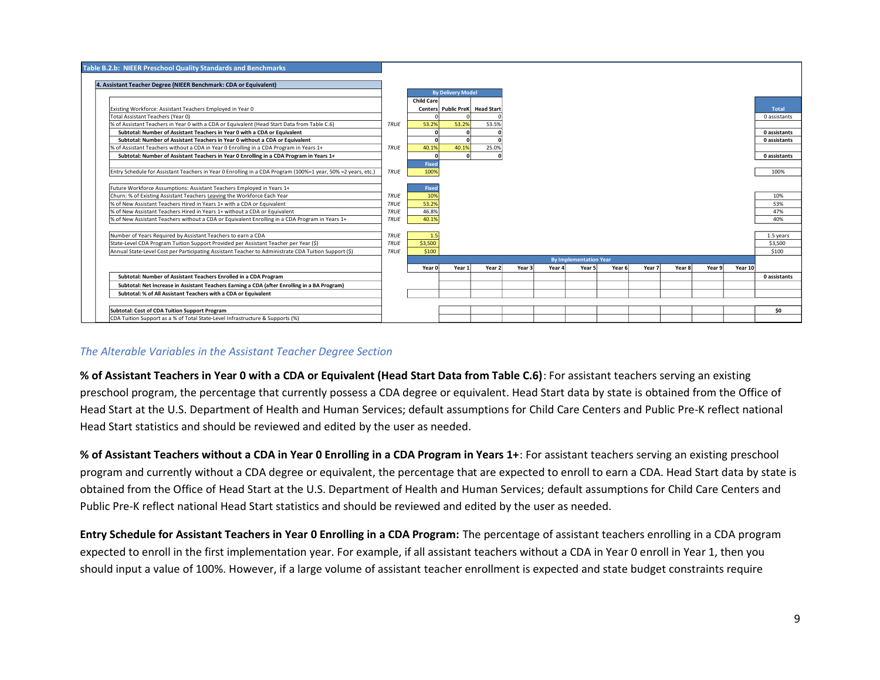| <b>Table B.2.b: NIEER Preschool Quality Standards and Benchmarks</b>                                         |             |                   |                                |        |        |        |                               |        |        |        |        |         |              |
|--------------------------------------------------------------------------------------------------------------|-------------|-------------------|--------------------------------|--------|--------|--------|-------------------------------|--------|--------|--------|--------|---------|--------------|
| 4. Assistant Teacher Degree (NIEER Benchmark: CDA or Equivalent)                                             |             |                   |                                |        |        |        |                               |        |        |        |        |         |              |
|                                                                                                              |             |                   | <b>By Delivery Model</b>       |        |        |        |                               |        |        |        |        |         |              |
|                                                                                                              |             | <b>Child Care</b> |                                |        |        |        |                               |        |        |        |        |         |              |
| Existing Workforce: Assistant Teachers Employed in Year 0                                                    |             |                   | Centers Public PreK Head Start |        |        |        |                               |        |        |        |        |         | Total        |
| Total Assistant Teachers (Year 0)                                                                            |             |                   |                                |        |        |        |                               |        |        |        |        |         | 0 assistants |
| of Assistant Teachers in Year 0 with a CDA or Equivalent (Head Start Data from Table C.6)                    | TRUE        | 53.2%             | 53.2%                          | 53.5%  |        |        |                               |        |        |        |        |         |              |
| Subtotal: Number of Assistant Teachers in Year 0 with a CDA or Equivalent                                    |             |                   |                                |        |        |        |                               |        |        |        |        |         | 0 assistants |
| Subtotal: Number of Assistant Teachers in Year 0 without a CDA or Equivalent                                 |             |                   |                                |        |        |        |                               |        |        |        |        |         | 0 assistants |
| % of Assistant Teachers without a CDA in Year 0 Enrolling in a CDA Program in Years 1+                       | TRUE        | 40.1%             | 40.1%                          | 25.0%  |        |        |                               |        |        |        |        |         |              |
| Subtotal: Number of Assistant Teachers in Year 0 Enrolling in a CDA Program in Years 1+                      |             |                   |                                |        |        |        |                               |        |        |        |        |         | 0 assistants |
|                                                                                                              |             | Fixed             |                                |        |        |        |                               |        |        |        |        |         |              |
| Entry Schedule for Assistant Teachers in Year 0 Enrolling in a CDA Program (100%=1 year, 50% =2 years, etc.) | TRUE        | 100%              |                                |        |        |        |                               |        |        |        |        |         | 100%         |
|                                                                                                              |             |                   |                                |        |        |        |                               |        |        |        |        |         |              |
| Future Workforce Assumptions: Assistant Teachers Employed in Years 1+                                        |             | Fixed             |                                |        |        |        |                               |        |        |        |        |         |              |
| Churn: % of Existing Assistant Teachers Leaving the Workforce Each Year                                      | TRUE        | 10%               |                                |        |        |        |                               |        |        |        |        |         | 10%          |
| % of New Assistant Teachers Hired in Years 1+ with a CDA or Equivalent                                       | TRUE        | 53.2%             |                                |        |        |        |                               |        |        |        |        |         | 53%          |
| % of New Assistant Teachers Hired in Years 1+ without a CDA or Equivalent                                    | <b>TRUE</b> | 46.8%             |                                |        |        |        |                               |        |        |        |        |         | 47%          |
| % of New Assistant Teachers without a CDA or Equivalent Enrolling in a CDA Program in Years 1+               | <b>TRUE</b> | 40.1%             |                                |        |        |        |                               |        |        |        |        |         | 40%          |
|                                                                                                              |             |                   |                                |        |        |        |                               |        |        |        |        |         |              |
| Number of Years Required by Assistant Teachers to earn a CDA                                                 | TRUE        | 1.5               |                                |        |        |        |                               |        |        |        |        |         | 1.5 years    |
| State-Level CDA Program Tuition Support Provided per Assistant Teacher per Year (\$)                         | <b>TRUE</b> | \$3,500           |                                |        |        |        |                               |        |        |        |        |         | \$3,500      |
| Annual State-Level Cost per Participating Assistant Teacher to Administrate CDA Tuition Support (\$)         | <b>TRUE</b> | \$100             |                                |        |        |        |                               |        |        |        |        |         | \$100        |
|                                                                                                              |             |                   |                                |        |        |        | <b>By Implementation Year</b> |        |        |        |        |         |              |
|                                                                                                              |             | Year 0            | Year 1                         | Year 2 | Year 3 | Year 4 | Year 5                        | Year 6 | Year 7 | Year 8 | Year 9 | Year 10 |              |
| Subtotal: Number of Assistant Teachers Enrolled in a CDA Program                                             |             |                   |                                |        |        |        |                               |        |        |        |        |         | 0 assistants |
| Subtotal: Net Increase in Assistant Teachers Earning a CDA (after Enrolling in a BA Program)                 |             |                   |                                |        |        |        |                               |        |        |        |        |         |              |
| Subtotal: % of All Assistant Teachers with a CDA or Equivalent                                               |             |                   |                                |        |        |        |                               |        |        |        |        |         |              |
|                                                                                                              |             |                   |                                |        |        |        |                               |        |        |        |        |         |              |
| Subtotal: Cost of CDA Tuition Support Program                                                                |             |                   |                                |        |        |        |                               |        |        |        |        |         | \$0          |
| CDA Tuition Support as a % of Total State-Level Infrastructure & Supports (%)                                |             |                   |                                |        |        |        |                               |        |        |        |        |         |              |

### *The Alterable Variables in the Assistant Teacher Degree Section*

**% of Assistant Teachers in Year 0 with a CDA or Equivalent (Head Start Data from Table C.6)**: For assistant teachers serving an existing preschool program, the percentage that currently possess a CDA degree or equivalent. Head Start data by state is obtained from the Office of Head Start at the U.S. Department of Health and Human Services; default assumptions for Child Care Centers and Public Pre-K reflect national Head Start statistics and should be reviewed and edited by the user as needed.

**% of Assistant Teachers without a CDA in Year 0 Enrolling in a CDA Program in Years 1+**: For assistant teachers serving an existing preschool program and currently without a CDA degree or equivalent, the percentage that are expected to enroll to earn a CDA. Head Start data by state is obtained from the Office of Head Start at the U.S. Department of Health and Human Services; default assumptions for Child Care Centers and Public Pre-K reflect national Head Start statistics and should be reviewed and edited by the user as needed.

**Entry Schedule for Assistant Teachers in Year 0 Enrolling in a CDA Program:** The percentage of assistant teachers enrolling in a CDA program expected to enroll in the first implementation year. For example, if all assistant teachers without a CDA in Year 0 enroll in Year 1, then you should input a value of 100%. However, if a large volume of assistant teacher enrollment is expected and state budget constraints require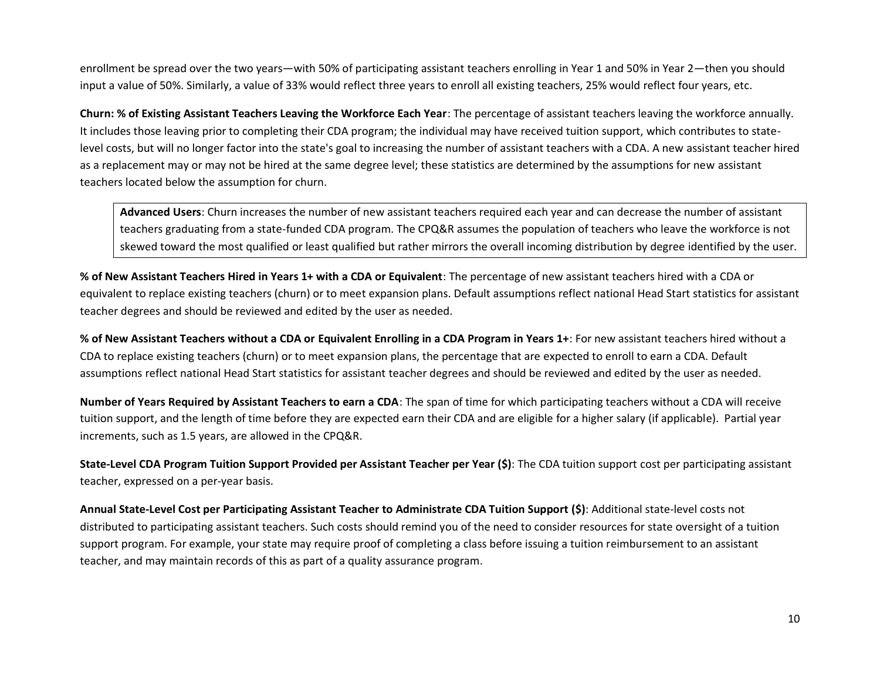enrollment be spread over the two years—with 50% of participating assistant teachers enrolling in Year 1 and 50% in Year 2—then you should input a value of 50%. Similarly, a value of 33% would reflect three years to enroll all existing teachers, 25% would reflect four years, etc.

**Churn: % of Existing Assistant Teachers Leaving the Workforce Each Year**: The percentage of assistant teachers leaving the workforce annually. It includes those leaving prior to completing their CDA program; the individual may have received tuition support, which contributes to statelevel costs, but will no longer factor into the state's goal to increasing the number of assistant teachers with a CDA. A new assistant teacher hired as a replacement may or may not be hired at the same degree level; these statistics are determined by the assumptions for new assistant teachers located below the assumption for churn.

**Advanced Users**: Churn increases the number of new assistant teachers required each year and can decrease the number of assistant teachers graduating from a state-funded CDA program. The CPQ&R assumes the population of teachers who leave the workforce is not skewed toward the most qualified or least qualified but rather mirrors the overall incoming distribution by degree identified by the user.

**% of New Assistant Teachers Hired in Years 1+ with a CDA or Equivalent**: The percentage of new assistant teachers hired with a CDA or equivalent to replace existing teachers (churn) or to meet expansion plans. Default assumptions reflect national Head Start statistics for assistant teacher degrees and should be reviewed and edited by the user as needed.

**% of New Assistant Teachers without a CDA or Equivalent Enrolling in a CDA Program in Years 1+**: For new assistant teachers hired without a CDA to replace existing teachers (churn) or to meet expansion plans, the percentage that are expected to enroll to earn a CDA. Default assumptions reflect national Head Start statistics for assistant teacher degrees and should be reviewed and edited by the user as needed.

**Number of Years Required by Assistant Teachers to earn a CDA**: The span of time for which participating teachers without a CDA will receive tuition support, and the length of time before they are expected earn their CDA and are eligible for a higher salary (if applicable). Partial year increments, such as 1.5 years, are allowed in the CPQ&R.

**State-Level CDA Program Tuition Support Provided per Assistant Teacher per Year (\$)**: The CDA tuition support cost per participating assistant teacher, expressed on a per-year basis.

**Annual State-Level Cost per Participating Assistant Teacher to Administrate CDA Tuition Support (\$)**: Additional state-level costs not distributed to participating assistant teachers. Such costs should remind you of the need to consider resources for state oversight of a tuition support program. For example, your state may require proof of completing a class before issuing a tuition reimbursement to an assistant teacher, and may maintain records of this as part of a quality assurance program.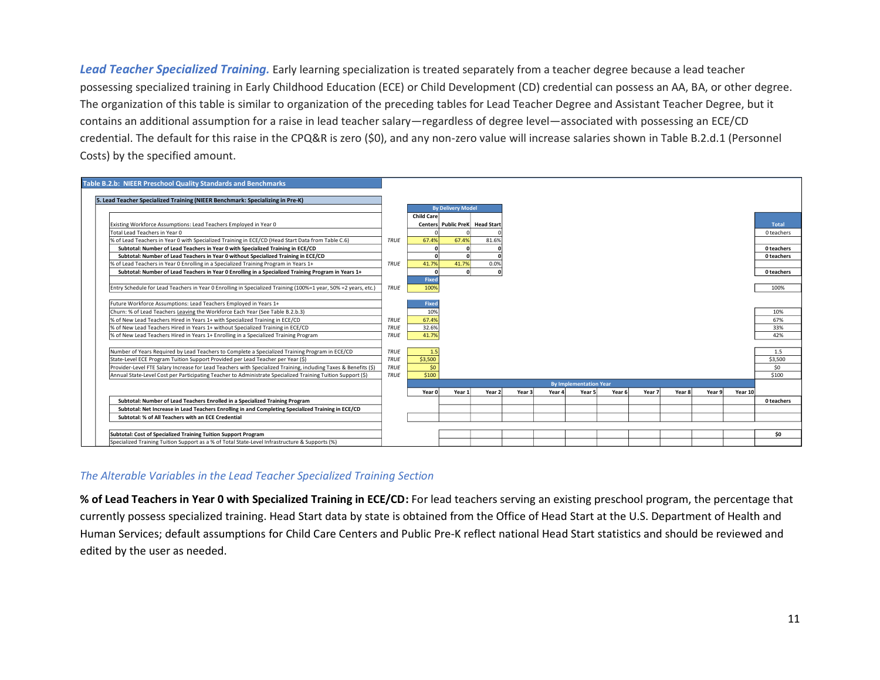*Lead Teacher Specialized Training.* Early learning specialization is treated separately from a teacher degree because a lead teacher possessing specialized training in Early Childhood Education (ECE) or Child Development (CD) credential can possess an AA, BA, or other degree. The organization of this table is similar to organization of the preceding tables for Lead Teacher Degree and Assistant Teacher Degree, but it contains an additional assumption for a raise in lead teacher salary—regardless of degree level—associated with possessing an ECE/CD credential. The default for this raise in the CPQ&R is zero (\$0), and any non-zero value will increase salaries shown in Table B.2.d.1 (Personnel Costs) by the specified amount.



### *The Alterable Variables in the Lead Teacher Specialized Training Section*

**% of Lead Teachers in Year 0 with Specialized Training in ECE/CD:** For lead teachers serving an existing preschool program, the percentage that currently possess specialized training. Head Start data by state is obtained from the Office of Head Start at the U.S. Department of Health and Human Services; default assumptions for Child Care Centers and Public Pre-K reflect national Head Start statistics and should be reviewed and edited by the user as needed.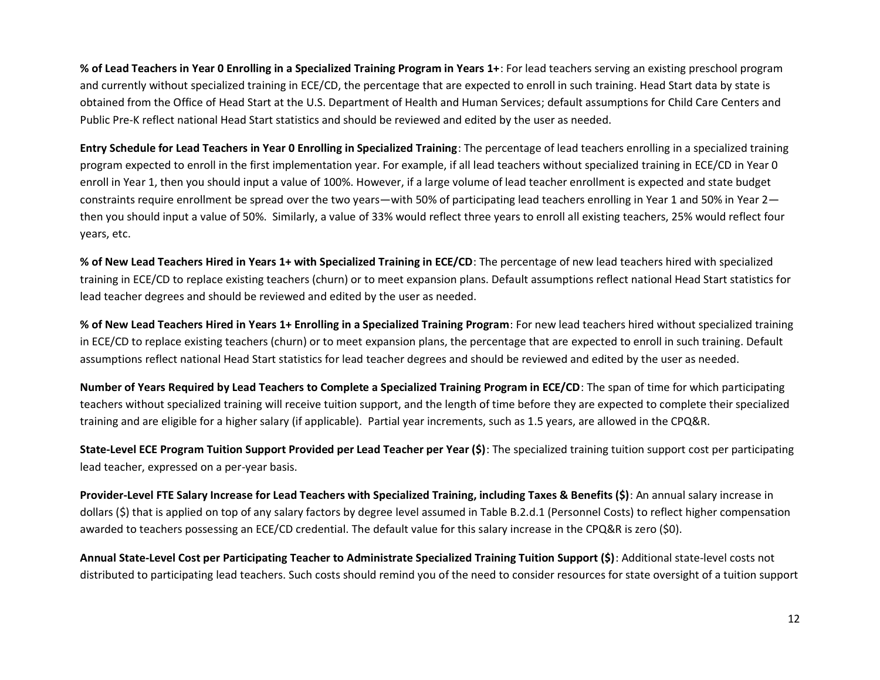**% of Lead Teachers in Year 0 Enrolling in a Specialized Training Program in Years 1+**: For lead teachers serving an existing preschool program and currently without specialized training in ECE/CD, the percentage that are expected to enroll in such training. Head Start data by state is obtained from the Office of Head Start at the U.S. Department of Health and Human Services; default assumptions for Child Care Centers and Public Pre-K reflect national Head Start statistics and should be reviewed and edited by the user as needed.

**Entry Schedule for Lead Teachers in Year 0 Enrolling in Specialized Training**: The percentage of lead teachers enrolling in a specialized training program expected to enroll in the first implementation year. For example, if all lead teachers without specialized training in ECE/CD in Year 0 enroll in Year 1, then you should input a value of 100%. However, if a large volume of lead teacher enrollment is expected and state budget constraints require enrollment be spread over the two years—with 50% of participating lead teachers enrolling in Year 1 and 50% in Year 2 then you should input a value of 50%. Similarly, a value of 33% would reflect three years to enroll all existing teachers, 25% would reflect four years, etc.

**% of New Lead Teachers Hired in Years 1+ with Specialized Training in ECE/CD**: The percentage of new lead teachers hired with specialized training in ECE/CD to replace existing teachers (churn) or to meet expansion plans. Default assumptions reflect national Head Start statistics for lead teacher degrees and should be reviewed and edited by the user as needed.

**% of New Lead Teachers Hired in Years 1+ Enrolling in a Specialized Training Program**: For new lead teachers hired without specialized training in ECE/CD to replace existing teachers (churn) or to meet expansion plans, the percentage that are expected to enroll in such training. Default assumptions reflect national Head Start statistics for lead teacher degrees and should be reviewed and edited by the user as needed.

**Number of Years Required by Lead Teachers to Complete a Specialized Training Program in ECE/CD**: The span of time for which participating teachers without specialized training will receive tuition support, and the length of time before they are expected to complete their specialized training and are eligible for a higher salary (if applicable). Partial year increments, such as 1.5 years, are allowed in the CPQ&R.

**State-Level ECE Program Tuition Support Provided per Lead Teacher per Year (\$)**: The specialized training tuition support cost per participating lead teacher, expressed on a per-year basis.

**Provider-Level FTE Salary Increase for Lead Teachers with Specialized Training, including Taxes & Benefits (\$)**: An annual salary increase in dollars (\$) that is applied on top of any salary factors by degree level assumed in Table B.2.d.1 (Personnel Costs) to reflect higher compensation awarded to teachers possessing an ECE/CD credential. The default value for this salary increase in the CPQ&R is zero (\$0).

**Annual State-Level Cost per Participating Teacher to Administrate Specialized Training Tuition Support (\$)**: Additional state-level costs not distributed to participating lead teachers. Such costs should remind you of the need to consider resources for state oversight of a tuition support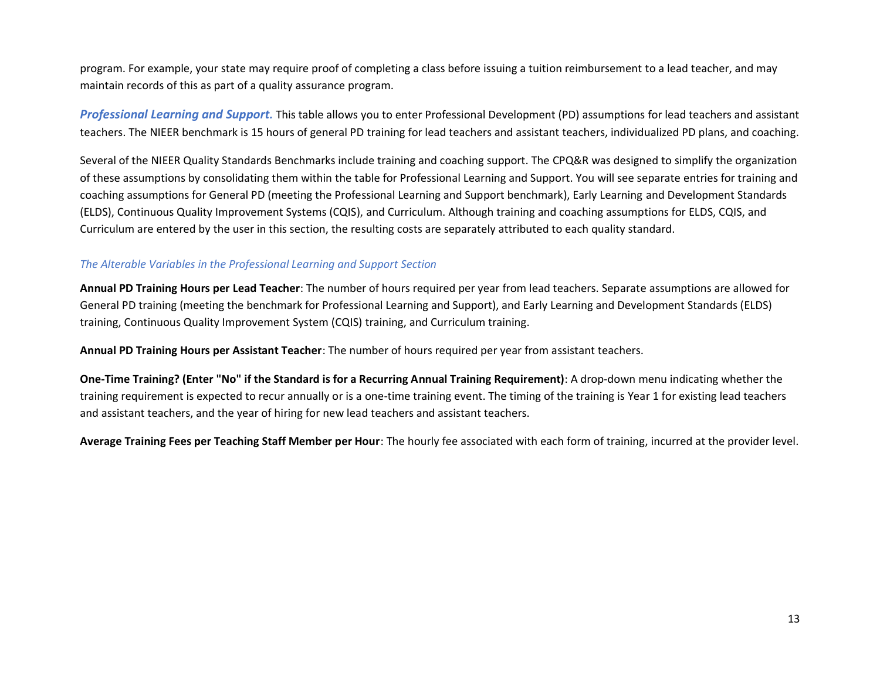program. For example, your state may require proof of completing a class before issuing a tuition reimbursement to a lead teacher, and may maintain records of this as part of a quality assurance program.

*Professional Learning and Support.* This table allows you to enter Professional Development (PD) assumptions for lead teachers and assistant teachers. The NIEER benchmark is 15 hours of general PD training for lead teachers and assistant teachers, individualized PD plans, and coaching.

Several of the NIEER Quality Standards Benchmarks include training and coaching support. The CPQ&R was designed to simplify the organization of these assumptions by consolidating them within the table for Professional Learning and Support. You will see separate entries for training and coaching assumptions for General PD (meeting the Professional Learning and Support benchmark), Early Learning and Development Standards (ELDS), Continuous Quality Improvement Systems (CQIS), and Curriculum. Although training and coaching assumptions for ELDS, CQIS, and Curriculum are entered by the user in this section, the resulting costs are separately attributed to each quality standard.

## *The Alterable Variables in the Professional Learning and Support Section*

**Annual PD Training Hours per Lead Teacher**: The number of hours required per year from lead teachers. Separate assumptions are allowed for General PD training (meeting the benchmark for Professional Learning and Support), and Early Learning and Development Standards (ELDS) training, Continuous Quality Improvement System (CQIS) training, and Curriculum training.

**Annual PD Training Hours per Assistant Teacher**: The number of hours required per year from assistant teachers.

**One-Time Training? (Enter "No" if the Standard is for a Recurring Annual Training Requirement)**: A drop-down menu indicating whether the training requirement is expected to recur annually or is a one-time training event. The timing of the training is Year 1 for existing lead teachers and assistant teachers, and the year of hiring for new lead teachers and assistant teachers.

**Average Training Fees per Teaching Staff Member per Hour**: The hourly fee associated with each form of training, incurred at the provider level.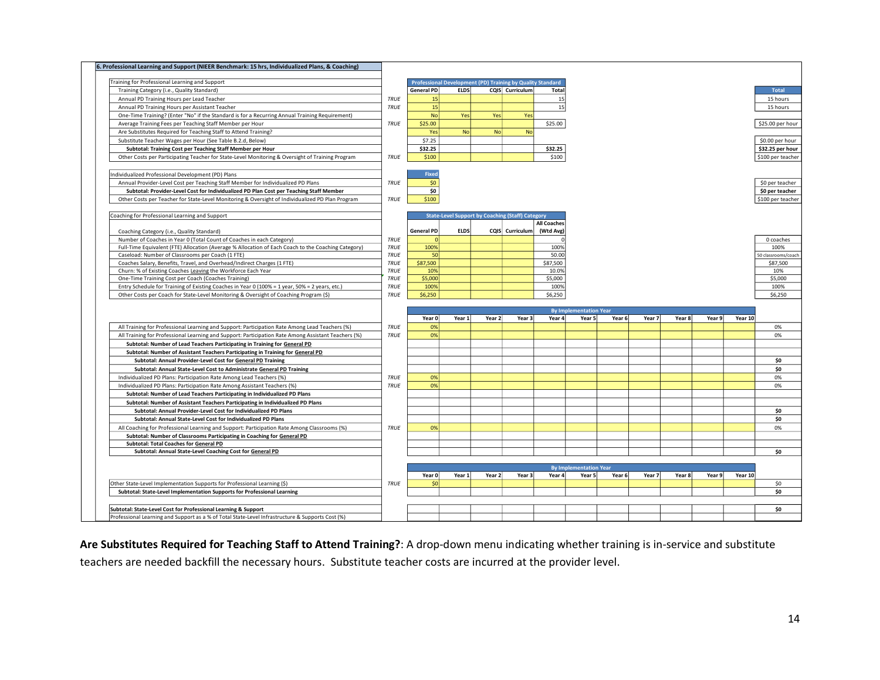| 6. Professional Learning and Support (NIEER Benchmark: 15 hrs, Individualized Plans, & Coaching)                                                                   |             |                   |             |           |                                                            |                    |                               |        |        |        |        |         |                     |
|--------------------------------------------------------------------------------------------------------------------------------------------------------------------|-------------|-------------------|-------------|-----------|------------------------------------------------------------|--------------------|-------------------------------|--------|--------|--------|--------|---------|---------------------|
|                                                                                                                                                                    |             |                   |             |           |                                                            |                    |                               |        |        |        |        |         |                     |
| Training for Professional Learning and Support                                                                                                                     |             |                   |             |           | Professional Development (PD) Training by Quality Standard |                    |                               |        |        |        |        |         |                     |
| Training Category (i.e., Quality Standard)                                                                                                                         |             | <b>General PD</b> | <b>ELDS</b> |           | CQIS Curriculum                                            | Total              |                               |        |        |        |        |         | Total               |
| Annual PD Training Hours per Lead Teacher                                                                                                                          | <b>TRUE</b> | 15                |             |           |                                                            | 15                 |                               |        |        |        |        |         | 15 hours            |
| Annual PD Training Hours per Assistant Teacher                                                                                                                     | TRUE        | 15                |             |           |                                                            | 15                 |                               |        |        |        |        |         | 15 hours            |
| One-Time Training? (Enter "No" if the Standard is for a Recurring Annual Training Requirement)                                                                     |             | <b>No</b>         | Yes         | Yes       | Yes                                                        |                    |                               |        |        |        |        |         |                     |
| Average Training Fees per Teaching Staff Member per Hour                                                                                                           | <b>TRUE</b> | \$25.00           |             |           |                                                            | \$25.00            |                               |        |        |        |        |         | \$25.00 per hour    |
| Are Substitutes Required for Teaching Staff to Attend Training?                                                                                                    |             | Yes               | <b>No</b>   | <b>No</b> | <b>No</b>                                                  |                    |                               |        |        |        |        |         |                     |
| Substitute Teacher Wages per Hour (See Table B.2.d, Below)                                                                                                         |             | \$7.25            |             |           |                                                            |                    |                               |        |        |        |        |         | \$0.00 per hour     |
| Subtotal: Training Cost per Teaching Staff Member per Hour                                                                                                         |             | \$32.25           |             |           |                                                            | \$32.25            |                               |        |        |        |        |         | \$32.25 per hour    |
| Other Costs per Participating Teacher for State-Level Monitoring & Oversight of Training Program                                                                   | <b>TRUE</b> | \$100             |             |           |                                                            | \$100              |                               |        |        |        |        |         | \$100 per teacher   |
| Individualized Professional Development (PD) Plans                                                                                                                 |             | <b>Fixed</b>      |             |           |                                                            |                    |                               |        |        |        |        |         |                     |
| Annual Provider-Level Cost per Teaching Staff Member for Individualized PD Plans                                                                                   | TRUE        | \$0               |             |           |                                                            |                    |                               |        |        |        |        |         | \$0 per teacher     |
| Subtotal: Provider-Level Cost for Individualized PD Plan Cost per Teaching Staff Member                                                                            |             | \$0               |             |           |                                                            |                    |                               |        |        |        |        |         | \$0 per teacher     |
| Other Costs per Teacher for State-Level Monitoring & Oversight of Individualized PD Plan Program                                                                   | <b>TRUE</b> | \$100             |             |           |                                                            |                    |                               |        |        |        |        |         | \$100 per teacher   |
| Coaching for Professional Learning and Support                                                                                                                     |             |                   |             |           | <b>State-Level Support by Coaching (Staff) Category</b>    |                    |                               |        |        |        |        |         |                     |
|                                                                                                                                                                    |             |                   |             |           |                                                            | <b>All Coaches</b> |                               |        |        |        |        |         |                     |
| Coaching Category (i.e., Quality Standard)                                                                                                                         |             | <b>General PD</b> | <b>ELDS</b> |           | CQIS Curriculum                                            | (Wtd Avg)          |                               |        |        |        |        |         |                     |
| Number of Coaches in Year 0 (Total Count of Coaches in each Category)                                                                                              | <b>TRUE</b> |                   |             |           |                                                            |                    |                               |        |        |        |        |         | 0 coaches           |
| Full-Time Equivalent (FTE) Allocation (Average % Allocation of Each Coach to the Coaching Category)                                                                | <b>TRUE</b> | 100%              |             |           |                                                            | 100%               |                               |        |        |        |        |         | 100%                |
| Caseload: Number of Classrooms per Coach (1 FTE)                                                                                                                   | <b>TRUE</b> | 50                |             |           |                                                            | 50.00              |                               |        |        |        |        |         | 50 classrooms/coach |
| Coaches Salary, Benefits, Travel, and Overhead/Indirect Charges (1 FTE)                                                                                            | <b>TRUE</b> | \$87,500          |             |           |                                                            | \$87,500           |                               |        |        |        |        |         | \$87,500            |
| Churn: % of Existing Coaches Leaving the Workforce Each Year                                                                                                       | TRUE        | 10%               |             |           |                                                            | 10.0%              |                               |        |        |        |        |         | 10%                 |
| One-Time Training Cost per Coach (Coaches Training)                                                                                                                | <b>TRUE</b> | \$5,000           |             |           |                                                            | \$5,000            |                               |        |        |        |        |         | \$5,000             |
| Entry Schedule for Training of Existing Coaches in Year 0 (100% = 1 year, 50% = 2 years, etc.)                                                                     | <b>TRUE</b> | 100%              |             |           |                                                            | 100%               |                               |        |        |        |        |         | 100%                |
| Other Costs per Coach for State-Level Monitoring & Oversight of Coaching Program (\$)                                                                              | TRUE        | \$6,250           |             |           |                                                            | \$6,250            |                               |        |        |        |        |         | \$6,250             |
|                                                                                                                                                                    |             |                   |             |           |                                                            |                    |                               |        |        |        |        |         |                     |
|                                                                                                                                                                    |             |                   |             |           |                                                            |                    |                               |        |        |        |        |         |                     |
|                                                                                                                                                                    |             |                   |             |           |                                                            |                    | <b>By Implementation Year</b> |        |        |        |        |         |                     |
|                                                                                                                                                                    |             | Year 0            | Year 1      | Year 2    | Year 3                                                     | Year 4             | Year 5                        | Year 6 | Year 7 | Year 8 | Year 9 | Year 10 |                     |
| All Training for Professional Learning and Support: Participation Rate Among Lead Teachers (%)                                                                     | <b>TRUE</b> | 0%                |             |           |                                                            |                    |                               |        |        |        |        |         | 0%                  |
| All Training for Professional Learning and Support: Participation Rate Among Assistant Teachers (%)                                                                | <b>TRUE</b> | 0%                |             |           |                                                            |                    |                               |        |        |        |        |         | 0%                  |
| Subtotal: Number of Lead Teachers Participating in Training for General PD                                                                                         |             |                   |             |           |                                                            |                    |                               |        |        |        |        |         |                     |
| Subtotal: Number of Assistant Teachers Participating in Training for General PD                                                                                    |             |                   |             |           |                                                            |                    |                               |        |        |        |        |         |                     |
| Subtotal: Annual Provider-Level Cost for General PD Training                                                                                                       |             |                   |             |           |                                                            |                    |                               |        |        |        |        |         | \$0                 |
| Subtotal: Annual State-Level Cost to Administrate General PD Training                                                                                              |             |                   |             |           |                                                            |                    |                               |        |        |        |        |         | \$0                 |
| Individualized PD Plans: Participation Rate Among Lead Teachers (%)                                                                                                | <b>TRUE</b> | 0%                |             |           |                                                            |                    |                               |        |        |        |        |         | 0%                  |
| Individualized PD Plans: Participation Rate Among Assistant Teachers (%)                                                                                           | <b>TRUE</b> | 0%                |             |           |                                                            |                    |                               |        |        |        |        |         | 0%                  |
| Subtotal: Number of Lead Teachers Participating in Individualized PD Plans                                                                                         |             |                   |             |           |                                                            |                    |                               |        |        |        |        |         |                     |
| Subtotal: Number of Assistant Teachers Participating in Individualized PD Plans                                                                                    |             |                   |             |           |                                                            |                    |                               |        |        |        |        |         |                     |
| Subtotal: Annual Provider-Level Cost for Individualized PD Plans                                                                                                   |             |                   |             |           |                                                            |                    |                               |        |        |        |        |         | \$0                 |
| Subtotal: Annual State-Level Cost for Individualized PD Plans                                                                                                      |             |                   |             |           |                                                            |                    |                               |        |        |        |        |         | \$O                 |
| All Coaching for Professional Learning and Support: Participation Rate Among Classrooms (%)                                                                        | <b>TRUE</b> | 0%                |             |           |                                                            |                    |                               |        |        |        |        |         | 0%                  |
| Subtotal: Number of Classrooms Participating in Coaching for General PD                                                                                            |             |                   |             |           |                                                            |                    |                               |        |        |        |        |         |                     |
| Subtotal: Total Coaches for General PD                                                                                                                             |             |                   |             |           |                                                            |                    |                               |        |        |        |        |         |                     |
| Subtotal: Annual State-Level Coaching Cost for General PD                                                                                                          |             |                   |             |           |                                                            |                    |                               |        |        |        |        |         | \$O                 |
|                                                                                                                                                                    |             |                   |             |           |                                                            |                    |                               |        |        |        |        |         |                     |
|                                                                                                                                                                    |             |                   |             |           |                                                            |                    | <b>By Implementation Year</b> |        |        |        |        |         |                     |
|                                                                                                                                                                    |             | Year 0            | Year 1      | Year 2    | Year 3                                                     | Year 4             | Year 5                        | Year 6 | Year 7 | Year 8 | Year 9 | Year 10 |                     |
| Other State-Level Implementation Supports for Professional Learning (\$)                                                                                           | <b>TRUE</b> | \$0               |             |           |                                                            |                    |                               |        |        |        |        |         | \$0                 |
| Subtotal: State-Level Implementation Supports for Professional Learning                                                                                            |             |                   |             |           |                                                            |                    |                               |        |        |        |        |         | \$0                 |
|                                                                                                                                                                    |             |                   |             |           |                                                            |                    |                               |        |        |        |        |         |                     |
| Subtotal: State-Level Cost for Professional Learning & Support<br>Professional Learning and Support as a % of Total State-Level Infrastructure & Supports Cost (%) |             |                   |             |           |                                                            |                    |                               |        |        |        |        |         | \$O                 |

**Are Substitutes Required for Teaching Staff to Attend Training?**: A drop-down menu indicating whether training is in-service and substitute teachers are needed backfill the necessary hours. Substitute teacher costs are incurred at the provider level.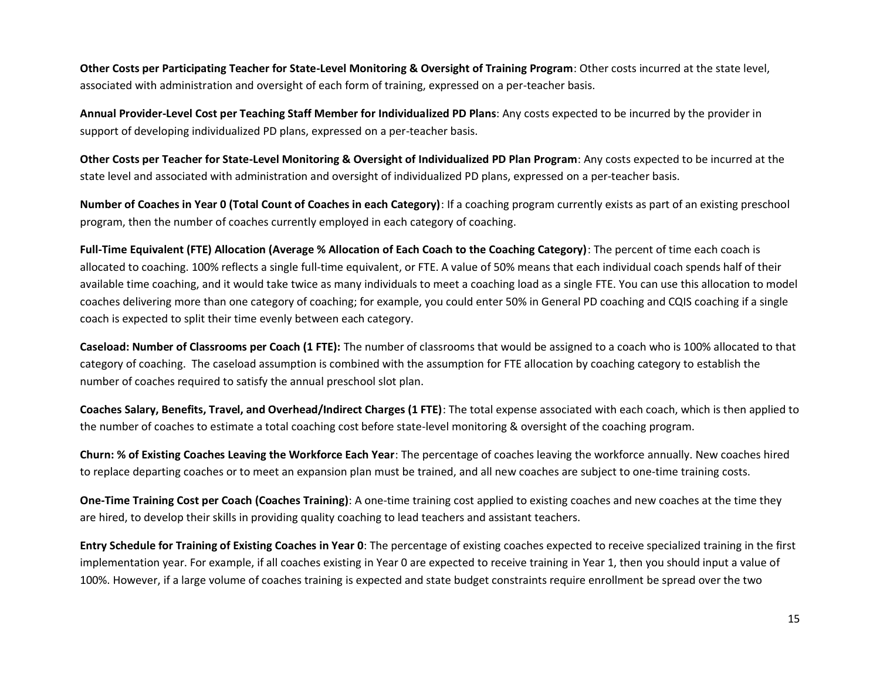**Other Costs per Participating Teacher for State-Level Monitoring & Oversight of Training Program**: Other costs incurred at the state level, associated with administration and oversight of each form of training, expressed on a per-teacher basis.

**Annual Provider-Level Cost per Teaching Staff Member for Individualized PD Plans**: Any costs expected to be incurred by the provider in support of developing individualized PD plans, expressed on a per-teacher basis.

**Other Costs per Teacher for State-Level Monitoring & Oversight of Individualized PD Plan Program**: Any costs expected to be incurred at the state level and associated with administration and oversight of individualized PD plans, expressed on a per-teacher basis.

**Number of Coaches in Year 0 (Total Count of Coaches in each Category)**: If a coaching program currently exists as part of an existing preschool program, then the number of coaches currently employed in each category of coaching.

**Full-Time Equivalent (FTE) Allocation (Average % Allocation of Each Coach to the Coaching Category)**: The percent of time each coach is allocated to coaching. 100% reflects a single full-time equivalent, or FTE. A value of 50% means that each individual coach spends half of their available time coaching, and it would take twice as many individuals to meet a coaching load as a single FTE. You can use this allocation to model coaches delivering more than one category of coaching; for example, you could enter 50% in General PD coaching and CQIS coaching if a single coach is expected to split their time evenly between each category.

**Caseload: Number of Classrooms per Coach (1 FTE):** The number of classrooms that would be assigned to a coach who is 100% allocated to that category of coaching. The caseload assumption is combined with the assumption for FTE allocation by coaching category to establish the number of coaches required to satisfy the annual preschool slot plan.

**Coaches Salary, Benefits, Travel, and Overhead/Indirect Charges (1 FTE)**: The total expense associated with each coach, which is then applied to the number of coaches to estimate a total coaching cost before state-level monitoring & oversight of the coaching program.

**Churn: % of Existing Coaches Leaving the Workforce Each Year**: The percentage of coaches leaving the workforce annually. New coaches hired to replace departing coaches or to meet an expansion plan must be trained, and all new coaches are subject to one-time training costs.

**One-Time Training Cost per Coach (Coaches Training)**: A one-time training cost applied to existing coaches and new coaches at the time they are hired, to develop their skills in providing quality coaching to lead teachers and assistant teachers.

**Entry Schedule for Training of Existing Coaches in Year 0**: The percentage of existing coaches expected to receive specialized training in the first implementation year. For example, if all coaches existing in Year 0 are expected to receive training in Year 1, then you should input a value of 100%. However, if a large volume of coaches training is expected and state budget constraints require enrollment be spread over the two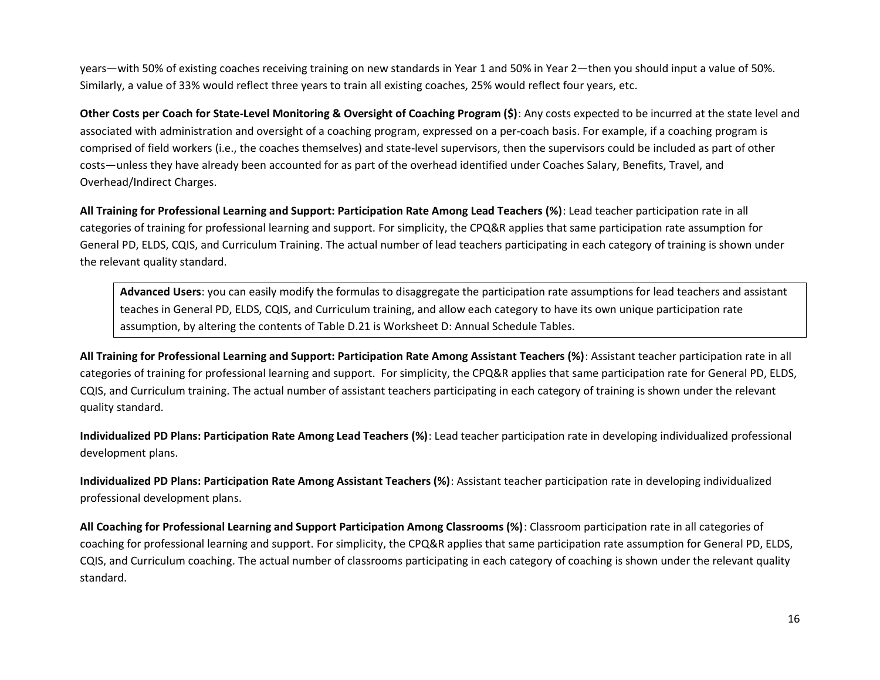years—with 50% of existing coaches receiving training on new standards in Year 1 and 50% in Year 2—then you should input a value of 50%. Similarly, a value of 33% would reflect three years to train all existing coaches, 25% would reflect four years, etc.

**Other Costs per Coach for State-Level Monitoring & Oversight of Coaching Program (\$)**: Any costs expected to be incurred at the state level and associated with administration and oversight of a coaching program, expressed on a per-coach basis. For example, if a coaching program is comprised of field workers (i.e., the coaches themselves) and state-level supervisors, then the supervisors could be included as part of other costs—unless they have already been accounted for as part of the overhead identified under Coaches Salary, Benefits, Travel, and Overhead/Indirect Charges.

**All Training for Professional Learning and Support: Participation Rate Among Lead Teachers (%)**: Lead teacher participation rate in all categories of training for professional learning and support. For simplicity, the CPQ&R applies that same participation rate assumption for General PD, ELDS, CQIS, and Curriculum Training. The actual number of lead teachers participating in each category of training is shown under the relevant quality standard.

**Advanced Users**: you can easily modify the formulas to disaggregate the participation rate assumptions for lead teachers and assistant teaches in General PD, ELDS, CQIS, and Curriculum training, and allow each category to have its own unique participation rate assumption, by altering the contents of Table D.21 is Worksheet D: Annual Schedule Tables.

**All Training for Professional Learning and Support: Participation Rate Among Assistant Teachers (%)**: Assistant teacher participation rate in all categories of training for professional learning and support. For simplicity, the CPQ&R applies that same participation rate for General PD, ELDS, CQIS, and Curriculum training. The actual number of assistant teachers participating in each category of training is shown under the relevant quality standard.

**Individualized PD Plans: Participation Rate Among Lead Teachers (%)**: Lead teacher participation rate in developing individualized professional development plans.

**Individualized PD Plans: Participation Rate Among Assistant Teachers (%)**: Assistant teacher participation rate in developing individualized professional development plans.

**All Coaching for Professional Learning and Support Participation Among Classrooms (%)**: Classroom participation rate in all categories of coaching for professional learning and support. For simplicity, the CPQ&R applies that same participation rate assumption for General PD, ELDS, CQIS, and Curriculum coaching. The actual number of classrooms participating in each category of coaching is shown under the relevant quality standard.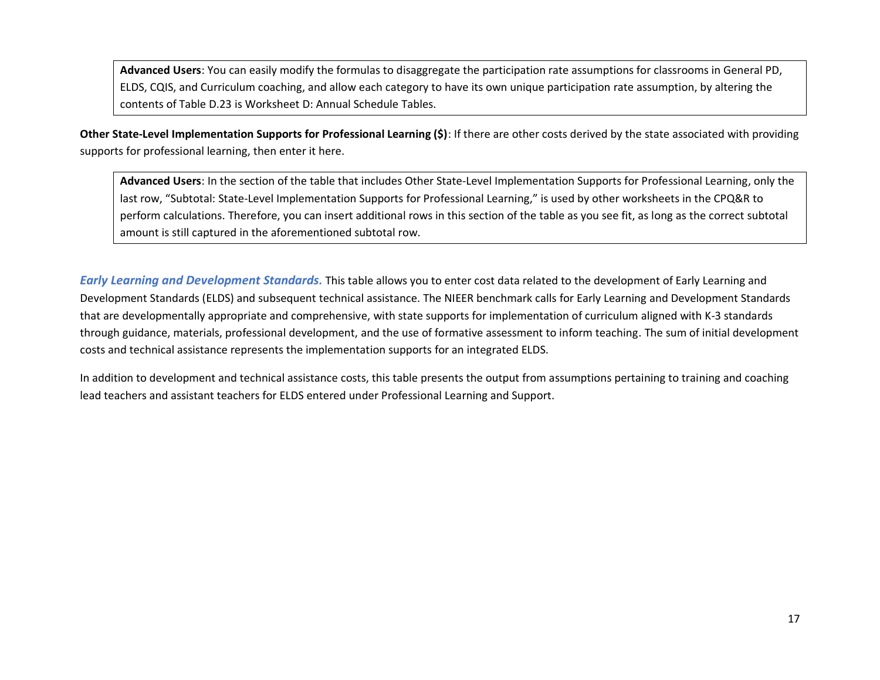**Advanced Users**: You can easily modify the formulas to disaggregate the participation rate assumptions for classrooms in General PD, ELDS, CQIS, and Curriculum coaching, and allow each category to have its own unique participation rate assumption, by altering the contents of Table D.23 is Worksheet D: Annual Schedule Tables.

**Other State-Level Implementation Supports for Professional Learning (\$)**: If there are other costs derived by the state associated with providing supports for professional learning, then enter it here.

**Advanced Users**: In the section of the table that includes Other State-Level Implementation Supports for Professional Learning, only the last row, "Subtotal: State-Level Implementation Supports for Professional Learning," is used by other worksheets in the CPQ&R to perform calculations. Therefore, you can insert additional rows in this section of the table as you see fit, as long as the correct subtotal amount is still captured in the aforementioned subtotal row.

*Early Learning and Development Standards.* This table allows you to enter cost data related to the development of Early Learning and Development Standards (ELDS) and subsequent technical assistance. The NIEER benchmark calls for Early Learning and Development Standards that are developmentally appropriate and comprehensive, with state supports for implementation of curriculum aligned with K-3 standards through guidance, materials, professional development, and the use of formative assessment to inform teaching. The sum of initial development costs and technical assistance represents the implementation supports for an integrated ELDS.

In addition to development and technical assistance costs, this table presents the output from assumptions pertaining to training and coaching lead teachers and assistant teachers for ELDS entered under Professional Learning and Support.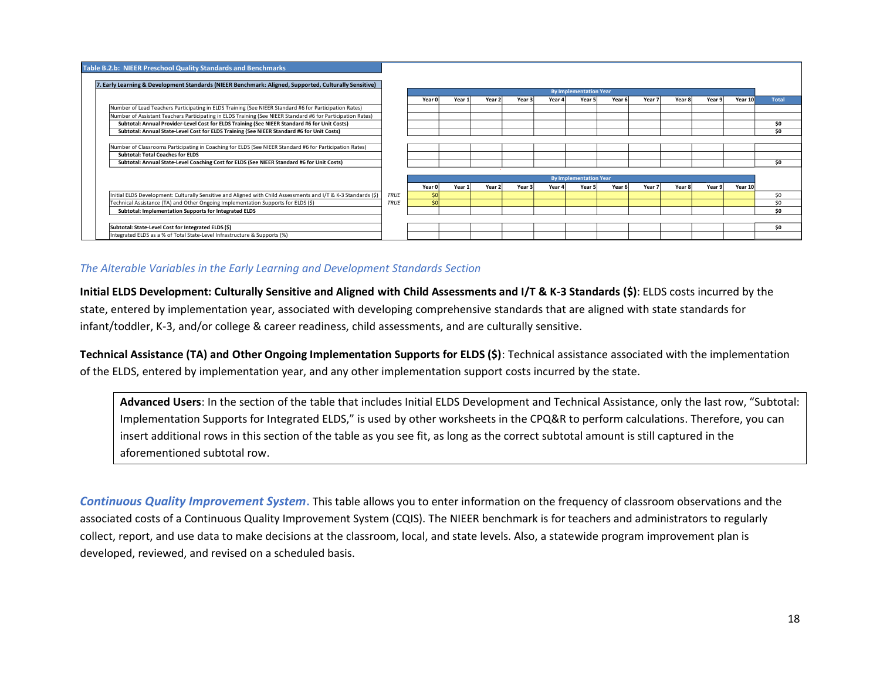| Table B.2.b: NIEER Preschool Quality Standards and Benchmarks                                                  |             |        |        |        |        |        |                               |        |        |        |        |         |              |
|----------------------------------------------------------------------------------------------------------------|-------------|--------|--------|--------|--------|--------|-------------------------------|--------|--------|--------|--------|---------|--------------|
| 7. Early Learning & Development Standards (NIEER Benchmark: Aligned, Supported, Culturally Sensitive)          |             |        |        |        |        |        |                               |        |        |        |        |         |              |
|                                                                                                                |             |        |        |        |        |        | <b>By Implementation Year</b> |        |        |        |        |         |              |
|                                                                                                                |             | Year 0 | Year:  | Year   | Year 3 | Year 4 | Year 5                        | Year 6 | Year 7 | Year 8 | Year 9 | Year 10 | <b>Total</b> |
| Number of Lead Teachers Participating in ELDS Training (See NIEER Standard #6 for Participation Rates)         |             |        |        |        |        |        |                               |        |        |        |        |         |              |
| Number of Assistant Teachers Participating in ELDS Training (See NIEER Standard #6 for Participation Rates)    |             |        |        |        |        |        |                               |        |        |        |        |         |              |
| Subtotal: Annual Provider-Level Cost for ELDS Training (See NIEER Standard #6 for Unit Costs)                  |             |        |        |        |        |        |                               |        |        |        |        |         | \$0          |
| Subtotal: Annual State-Level Cost for ELDS Training (See NIEER Standard #6 for Unit Costs)                     |             |        |        |        |        |        |                               |        |        |        |        |         | \$0          |
|                                                                                                                |             |        |        |        |        |        |                               |        |        |        |        |         |              |
| Number of Classrooms Participating in Coaching for ELDS (See NIEER Standard #6 for Participation Rates)        |             |        |        |        |        |        |                               |        |        |        |        |         |              |
| <b>Subtotal: Total Coaches for ELDS</b>                                                                        |             |        |        |        |        |        |                               |        |        |        |        |         |              |
| Subtotal: Annual State-Level Coaching Cost for ELDS (See NIEER Standard #6 for Unit Costs)                     |             |        |        |        |        |        |                               |        |        |        |        |         | \$O          |
|                                                                                                                |             |        |        |        |        |        |                               |        |        |        |        |         |              |
|                                                                                                                |             |        |        |        |        |        | <b>By Implementation Year</b> |        |        |        |        |         |              |
|                                                                                                                |             | Year 0 | Year 1 | Year 2 | Year 3 | Year 4 | Year 5                        | Year 6 | Year 7 | Year 8 | Year 9 | Year 10 |              |
| Initial ELDS Development: Culturally Sensitive and Aligned with Child Assessments and I/T & K-3 Standards (\$) | <b>TRUE</b> | \$0    |        |        |        |        |                               |        |        |        |        |         | \$0          |
| Technical Assistance (TA) and Other Ongoing Implementation Supports for ELDS (\$)                              | <b>TRUE</b> | \$0    |        |        |        |        |                               |        |        |        |        |         | \$0          |
| Subtotal: Implementation Supports for Integrated ELDS                                                          |             |        |        |        |        |        |                               |        |        |        |        |         | \$O          |
|                                                                                                                |             |        |        |        |        |        |                               |        |        |        |        |         |              |
| Subtotal: State-Level Cost for Integrated ELDS (\$)                                                            |             |        |        |        |        |        |                               |        |        |        |        |         | \$O          |
| Integrated ELDS as a % of Total State-Level Infrastructure & Supports (%)                                      |             |        |        |        |        |        |                               |        |        |        |        |         |              |

# *The Alterable Variables in the Early Learning and Development Standards Section*

**Initial ELDS Development: Culturally Sensitive and Aligned with Child Assessments and I/T & K-3 Standards (\$)**: ELDS costs incurred by the state, entered by implementation year, associated with developing comprehensive standards that are aligned with state standards for infant/toddler, K-3, and/or college & career readiness, child assessments, and are culturally sensitive.

**Technical Assistance (TA) and Other Ongoing Implementation Supports for ELDS (\$)**: Technical assistance associated with the implementation of the ELDS, entered by implementation year, and any other implementation support costs incurred by the state.

**Advanced Users**: In the section of the table that includes Initial ELDS Development and Technical Assistance, only the last row, "Subtotal: Implementation Supports for Integrated ELDS," is used by other worksheets in the CPQ&R to perform calculations. Therefore, you can insert additional rows in this section of the table as you see fit, as long as the correct subtotal amount is still captured in the aforementioned subtotal row.

*Continuous Quality Improvement System***.** This table allows you to enter information on the frequency of classroom observations and the associated costs of a Continuous Quality Improvement System (CQIS). The NIEER benchmark is for teachers and administrators to regularly collect, report, and use data to make decisions at the classroom, local, and state levels. Also, a statewide program improvement plan is developed, reviewed, and revised on a scheduled basis.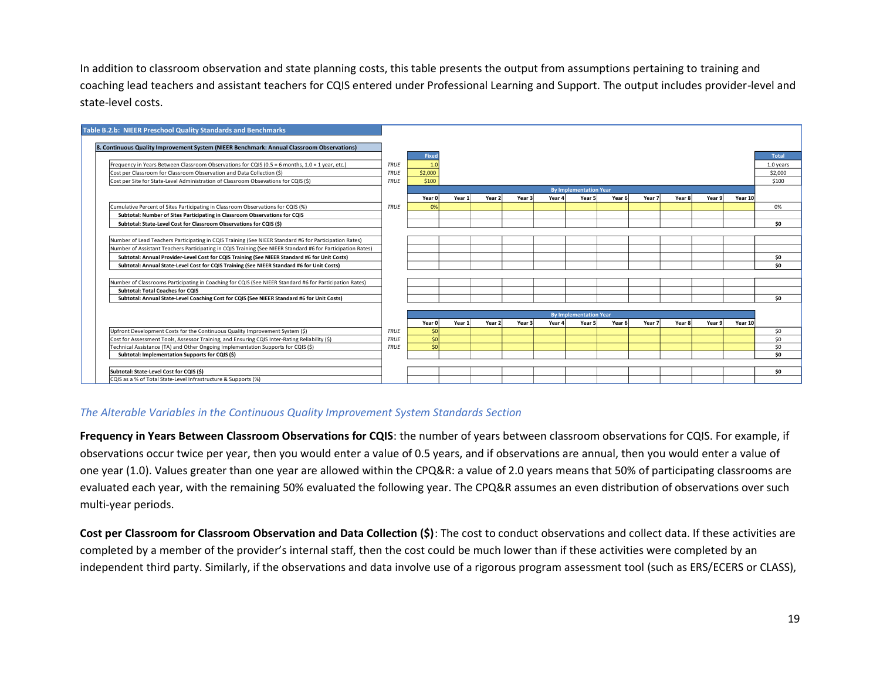In addition to classroom observation and state planning costs, this table presents the output from assumptions pertaining to training and coaching lead teachers and assistant teachers for CQIS entered under Professional Learning and Support. The output includes provider-level and state-level costs.



## *The Alterable Variables in the Continuous Quality Improvement System Standards Section*

**Frequency in Years Between Classroom Observations for CQIS**: the number of years between classroom observations for CQIS. For example, if observations occur twice per year, then you would enter a value of 0.5 years, and if observations are annual, then you would enter a value of one year (1.0). Values greater than one year are allowed within the CPQ&R: a value of 2.0 years means that 50% of participating classrooms are evaluated each year, with the remaining 50% evaluated the following year. The CPQ&R assumes an even distribution of observations over such multi-year periods.

**Cost per Classroom for Classroom Observation and Data Collection (\$)**: The cost to conduct observations and collect data. If these activities are completed by a member of the provider's internal staff, then the cost could be much lower than if these activities were completed by an independent third party. Similarly, if the observations and data involve use of a rigorous program assessment tool (such as ERS/ECERS or CLASS),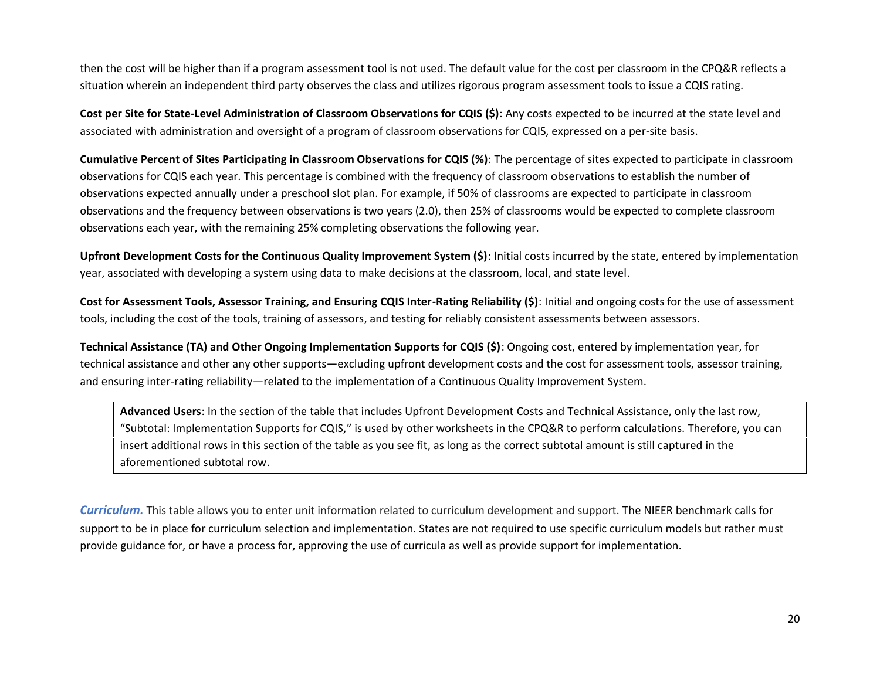then the cost will be higher than if a program assessment tool is not used. The default value for the cost per classroom in the CPQ&R reflects a situation wherein an independent third party observes the class and utilizes rigorous program assessment tools to issue a CQIS rating.

**Cost per Site for State-Level Administration of Classroom Observations for CQIS (\$)**: Any costs expected to be incurred at the state level and associated with administration and oversight of a program of classroom observations for CQIS, expressed on a per-site basis.

**Cumulative Percent of Sites Participating in Classroom Observations for CQIS (%)**: The percentage of sites expected to participate in classroom observations for CQIS each year. This percentage is combined with the frequency of classroom observations to establish the number of observations expected annually under a preschool slot plan. For example, if 50% of classrooms are expected to participate in classroom observations and the frequency between observations is two years (2.0), then 25% of classrooms would be expected to complete classroom observations each year, with the remaining 25% completing observations the following year.

**Upfront Development Costs for the Continuous Quality Improvement System (\$)**: Initial costs incurred by the state, entered by implementation year, associated with developing a system using data to make decisions at the classroom, local, and state level.

**Cost for Assessment Tools, Assessor Training, and Ensuring CQIS Inter-Rating Reliability (\$)**: Initial and ongoing costs for the use of assessment tools, including the cost of the tools, training of assessors, and testing for reliably consistent assessments between assessors.

**Technical Assistance (TA) and Other Ongoing Implementation Supports for CQIS (\$)**: Ongoing cost, entered by implementation year, for technical assistance and other any other supports—excluding upfront development costs and the cost for assessment tools, assessor training, and ensuring inter-rating reliability—related to the implementation of a Continuous Quality Improvement System.

**Advanced Users**: In the section of the table that includes Upfront Development Costs and Technical Assistance, only the last row, "Subtotal: Implementation Supports for CQIS," is used by other worksheets in the CPQ&R to perform calculations. Therefore, you can insert additional rows in this section of the table as you see fit, as long as the correct subtotal amount is still captured in the aforementioned subtotal row.

*Curriculum.* This table allows you to enter unit information related to curriculum development and support. The NIEER benchmark calls for support to be in place for curriculum selection and implementation. States are not required to use specific curriculum models but rather must provide guidance for, or have a process for, approving the use of curricula as well as provide support for implementation.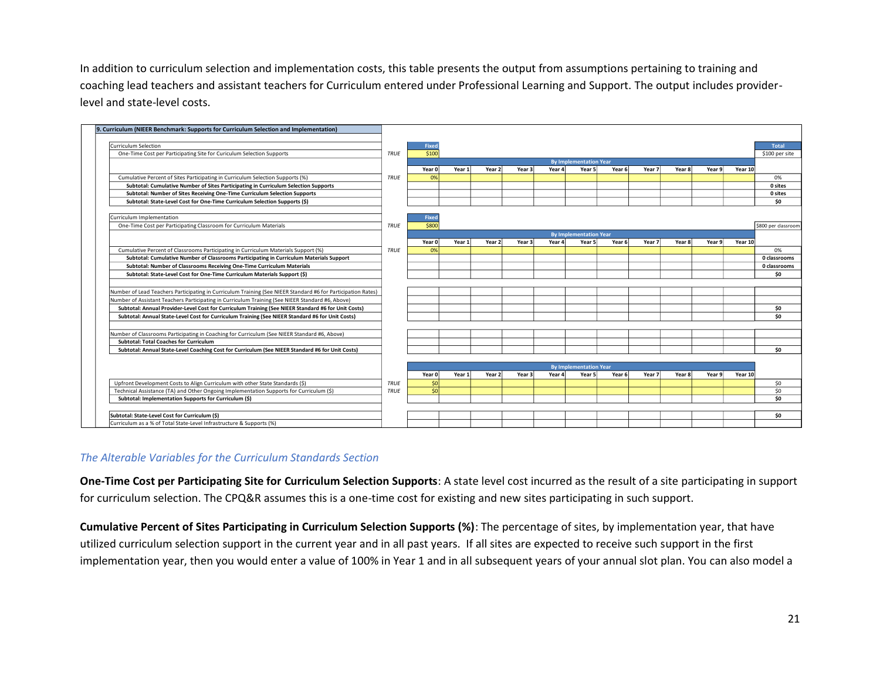In addition to curriculum selection and implementation costs, this table presents the output from assumptions pertaining to training and coaching lead teachers and assistant teachers for Curriculum entered under Professional Learning and Support. The output includes providerlevel and state-level costs.

| 9. Curriculum (NIEER Benchmark: Supports for Curriculum Selection and Implementation)                        |             |              |        |                   |                   |        |                               |        |        |        |        |         |                     |
|--------------------------------------------------------------------------------------------------------------|-------------|--------------|--------|-------------------|-------------------|--------|-------------------------------|--------|--------|--------|--------|---------|---------------------|
| <b>Curriculum Selection</b>                                                                                  |             | <b>Fixed</b> |        |                   |                   |        |                               |        |        |        |        |         | <b>Total</b>        |
| One-Time Cost per Participating Site for Curiculum Selection Supports                                        | TRUE        | \$100        |        |                   |                   |        |                               |        |        |        |        |         | \$100 per site      |
|                                                                                                              |             |              |        |                   |                   |        | <b>By Implementation Year</b> |        |        |        |        |         |                     |
|                                                                                                              |             | Year 0       | Year 1 | Year <sub>2</sub> | Year <sub>3</sub> | Year 4 | Year 5                        | Year 6 | Year 7 | Year 8 | Year 9 | Year 10 |                     |
| Cumulative Percent of Sites Participating in Curriculum Selection Supports (%)                               | TRUE        | 0%           |        |                   |                   |        |                               |        |        |        |        |         | 0%                  |
| Subtotal: Cumulative Number of Sites Participating in Curriculum Selection Supports                          |             |              |        |                   |                   |        |                               |        |        |        |        |         | 0 sites             |
| Subtotal: Number of Sites Receiving One-Time Curriculum Selection Supports                                   |             |              |        |                   |                   |        |                               |        |        |        |        |         | 0 sites             |
| Subtotal: State-Level Cost for One-Time Curriculum Selection Supports (\$)                                   |             |              |        |                   |                   |        |                               |        |        |        |        |         | \$O                 |
| Curriculum Implementation                                                                                    |             | <b>Fixed</b> |        |                   |                   |        |                               |        |        |        |        |         |                     |
| One-Time Cost per Participating Classroom for Curriculum Materials                                           | TRUE        | \$800        |        |                   |                   |        |                               |        |        |        |        |         | \$800 per classroom |
|                                                                                                              |             |              |        |                   |                   |        | <b>By Implementation Year</b> |        |        |        |        |         |                     |
|                                                                                                              |             | Year 0       | Year 1 | Year 2            | Year <sub>3</sub> | Year 4 | Year 5                        | Year 6 | Year 7 | Year 8 | Year 9 | Year 10 |                     |
| Cumulative Percent of Classrooms Participating in Curriculum Materials Support (%)                           | TRUE        | 0%           |        |                   |                   |        |                               |        |        |        |        |         | 0%                  |
| Subtotal: Cumulative Number of Classrooms Participating in Curriculum Materials Support                      |             |              |        |                   |                   |        |                               |        |        |        |        |         | 0 classrooms        |
| Subtotal: Number of Classrooms Receiving One-Time Curriculum Materials                                       |             |              |        |                   |                   |        |                               |        |        |        |        |         | 0 classrooms        |
| Subtotal: State-Level Cost for One-Time Curriculum Materials Support (\$)                                    |             |              |        |                   |                   |        |                               |        |        |        |        |         | \$O                 |
|                                                                                                              |             |              |        |                   |                   |        |                               |        |        |        |        |         |                     |
| Number of Lead Teachers Participating in Curriculum Training (See NIEER Standard #6 for Participation Rates) |             |              |        |                   |                   |        |                               |        |        |        |        |         |                     |
| Number of Assistant Teachers Participating in Curriculum Training (See NIEER Standard #6, Above)             |             |              |        |                   |                   |        |                               |        |        |        |        |         |                     |
| Subtotal: Annual Provider-Level Cost for Curriculum Training (See NIEER Standard #6 for Unit Costs)          |             |              |        |                   |                   |        |                               |        |        |        |        |         | \$O                 |
| Subtotal: Annual State-Level Cost for Curriculum Training (See NIEER Standard #6 for Unit Costs)             |             |              |        |                   |                   |        |                               |        |        |        |        |         | \$0                 |
|                                                                                                              |             |              |        |                   |                   |        |                               |        |        |        |        |         |                     |
| Number of Classrooms Participating in Coaching for Curriculum (See NIEER Standard #6, Above)                 |             |              |        |                   |                   |        |                               |        |        |        |        |         |                     |
| <b>Subtotal: Total Coaches for Curriculum</b>                                                                |             |              |        |                   |                   |        |                               |        |        |        |        |         |                     |
| Subtotal: Annual State-Level Coaching Cost for Curriculum (See NIEER Standard #6 for Unit Costs)             |             |              |        |                   |                   |        |                               |        |        |        |        |         | \$0                 |
|                                                                                                              |             |              |        |                   |                   |        |                               |        |        |        |        |         |                     |
|                                                                                                              |             |              |        |                   |                   |        | <b>By Implementation Year</b> |        |        |        |        |         |                     |
|                                                                                                              |             | Year 0       | Year 1 | Year <sub>2</sub> | Year 3            | Year 4 | Year 5                        | Year 6 | Year 7 | Year 8 | Year 9 | Year 10 |                     |
| Upfront Development Costs to Align Curriculum with other State Standards (\$)                                | TRUE        | \$0          |        |                   |                   |        |                               |        |        |        |        |         | \$0                 |
| Technical Assistance (TA) and Other Ongoing Implementation Supports for Curriculum (\$)                      | <b>TRUE</b> | \$0          |        |                   |                   |        |                               |        |        |        |        |         | \$0                 |
| Subtotal: Implementation Supports for Curriculum (\$)                                                        |             |              |        |                   |                   |        |                               |        |        |        |        |         | \$O                 |
|                                                                                                              |             |              |        |                   |                   |        |                               |        |        |        |        |         |                     |
| Subtotal: State-Level Cost for Curriculum (\$)                                                               |             |              |        |                   |                   |        |                               |        |        |        |        |         | \$O                 |
| Curriculum as a % of Total State-Level Infrastructure & Supports (%)                                         |             |              |        |                   |                   |        |                               |        |        |        |        |         |                     |

### *The Alterable Variables for the Curriculum Standards Section*

**One-Time Cost per Participating Site for Curriculum Selection Supports**: A state level cost incurred as the result of a site participating in support for curriculum selection. The CPQ&R assumes this is a one-time cost for existing and new sites participating in such support.

**Cumulative Percent of Sites Participating in Curriculum Selection Supports (%)**: The percentage of sites, by implementation year, that have utilized curriculum selection support in the current year and in all past years. If all sites are expected to receive such support in the first implementation year, then you would enter a value of 100% in Year 1 and in all subsequent years of your annual slot plan. You can also model a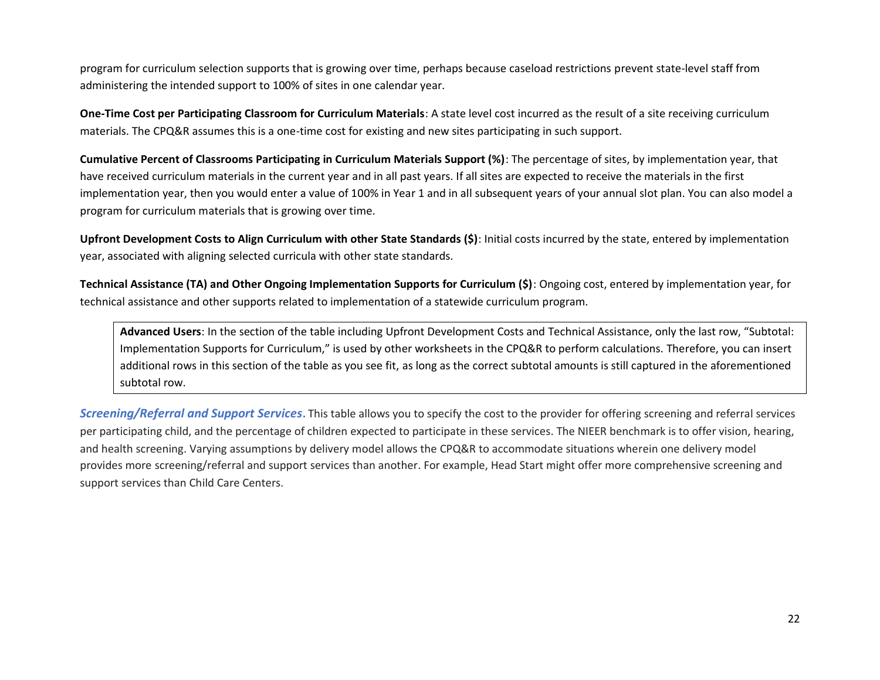program for curriculum selection supports that is growing over time, perhaps because caseload restrictions prevent state-level staff from administering the intended support to 100% of sites in one calendar year.

**One-Time Cost per Participating Classroom for Curriculum Materials**: A state level cost incurred as the result of a site receiving curriculum materials. The CPQ&R assumes this is a one-time cost for existing and new sites participating in such support.

**Cumulative Percent of Classrooms Participating in Curriculum Materials Support (%)**: The percentage of sites, by implementation year, that have received curriculum materials in the current year and in all past years. If all sites are expected to receive the materials in the first implementation year, then you would enter a value of 100% in Year 1 and in all subsequent years of your annual slot plan. You can also model a program for curriculum materials that is growing over time.

**Upfront Development Costs to Align Curriculum with other State Standards (\$)**: Initial costs incurred by the state, entered by implementation year, associated with aligning selected curricula with other state standards.

**Technical Assistance (TA) and Other Ongoing Implementation Supports for Curriculum (\$)**: Ongoing cost, entered by implementation year, for technical assistance and other supports related to implementation of a statewide curriculum program.

**Advanced Users**: In the section of the table including Upfront Development Costs and Technical Assistance, only the last row, "Subtotal: Implementation Supports for Curriculum," is used by other worksheets in the CPQ&R to perform calculations. Therefore, you can insert additional rows in this section of the table as you see fit, as long as the correct subtotal amounts is still captured in the aforementioned subtotal row.

*Screening/Referral and Support Services***.** This table allows you to specify the cost to the provider for offering screening and referral services per participating child, and the percentage of children expected to participate in these services. The NIEER benchmark is to offer vision, hearing, and health screening. Varying assumptions by delivery model allows the CPQ&R to accommodate situations wherein one delivery model provides more screening/referral and support services than another. For example, Head Start might offer more comprehensive screening and support services than Child Care Centers.